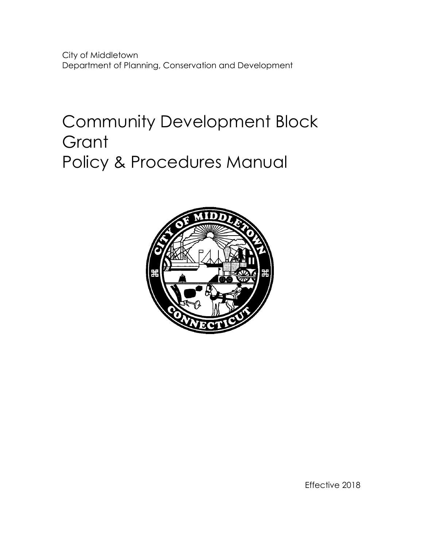City of Middletown Department of Planning, Conservation and Development

# Community Development Block **Grant** Policy & Procedures Manual



Effective 2018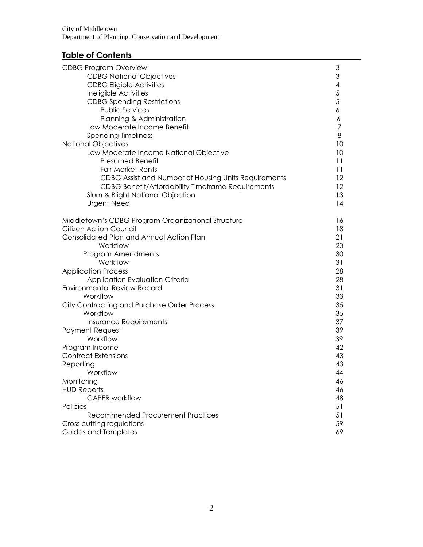# **Table of Contents**

| <b>CDBG Program Overview</b>                             | 3                                          |
|----------------------------------------------------------|--------------------------------------------|
| <b>CDBG National Objectives</b>                          | 3                                          |
| <b>CDBG Eligible Activities</b>                          |                                            |
| Ineligible Activities                                    | $\begin{array}{c} 4 \\ 5 \\ 5 \end{array}$ |
| <b>CDBG Spending Restrictions</b>                        |                                            |
| <b>Public Services</b>                                   | 6                                          |
| Planning & Administration                                | 6                                          |
| Low Moderate Income Benefit                              | 7                                          |
| <b>Spending Timeliness</b>                               | 8                                          |
| <b>National Objectives</b>                               | 10                                         |
| Low Moderate Income National Objective                   | 10                                         |
| Presumed Benefit                                         | 11                                         |
| <b>Fair Market Rents</b>                                 | 11                                         |
| CDBG Assist and Number of Housing Units Requirements     | $12 \,$                                    |
| <b>CDBG Benefit/Affordability Timeframe Requirements</b> | $12 \,$                                    |
| Slum & Blight National Objection                         | 13                                         |
| <b>Urgent Need</b>                                       | 14                                         |
|                                                          |                                            |
| Middletown's CDBG Program Organizational Structure       | 16                                         |
| <b>Citizen Action Council</b>                            | 18                                         |
| Consolidated Plan and Annual Action Plan                 | 21                                         |
| Workflow                                                 | 23                                         |
| Program Amendments                                       | 30                                         |
| Workflow                                                 | 31                                         |
| <b>Application Process</b>                               | 28                                         |
| Application Evaluation Criteria                          | 28                                         |
| <b>Environmental Review Record</b>                       | 31                                         |
| Workflow                                                 | 33                                         |
| City Contracting and Purchase Order Process              | 35                                         |
| Workflow                                                 | 35                                         |
| Insurance Requirements                                   | 37                                         |
| Payment Request                                          | 39                                         |
| Workflow                                                 | 39                                         |
| Program Income                                           | 42                                         |
| <b>Contract Extensions</b>                               | 43                                         |
| Reporting                                                | 43                                         |
| Workflow                                                 | 44                                         |
| Monitoring                                               | 46                                         |
| <b>HUD Reports</b>                                       | 46                                         |
| <b>CAPER</b> workflow                                    | 48                                         |
| Policies                                                 | 51                                         |
| Recommended Procurement Practices                        | 51                                         |
| Cross cutting regulations                                | 59                                         |
| Guides and Templates                                     | 69                                         |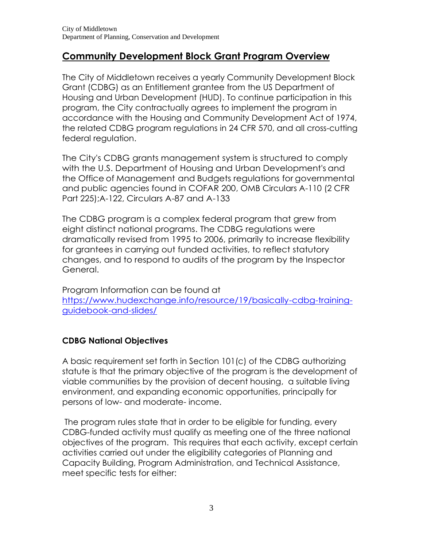# **Community Development Block Grant Program Overview**

The City of Middletown receives a yearly Community Development Block Grant (CDBG) as an Entitlement grantee from the US Department of Housing and Urban Development (HUD). To continue participation in this program, the City contractually agrees to implement the program in accordance with the Housing and Community Development Act of 1974, the related CDBG program regulations in 24 CFR 570, and all cross-cutting federal regulation.

The City's CDBG grants management system is structured to comply with the U.S. Department of Housing and Urban Development's and the Office of Management and Budgets regulations for governmental and public agencies found in COFAR 200, OMB Circulars A-110 (2 CFR Part 225);A-122, Circulars A-87 and A-133

The CDBG program is a complex federal program that grew from eight distinct national programs. The CDBG regulations were dramatically revised from 1995 to 2006, primarily to increase flexibility for grantees in carrying out funded activities, to reflect statutory changes, and to respond to audits of the program by the Inspector General.

Program Information can be found at [https://www.hudexchange.info/resource/19/basically-cdbg-training](https://www.hudexchange.info/resource/19/basically-cdbg-training-guidebook-and-slides/)[guidebook-and-slides/](https://www.hudexchange.info/resource/19/basically-cdbg-training-guidebook-and-slides/)

# **CDBG National Objectives**

A basic requirement set forth in Section 101(c) of the CDBG authorizing statute is that the primary objective of the program is the development of viable communities by the provision of decent housing, a suitable living environment, and expanding economic opportunities, principally for persons of low- and moderate- income.

The program rules state that in order to be eligible for funding, every CDBG-funded activity must qualify as meeting one of the three national objectives of the program. This requires that each activity, except certain activities carried out under the eligibility categories of Planning and Capacity Building, Program Administration, and Technical Assistance, meet specific tests for either: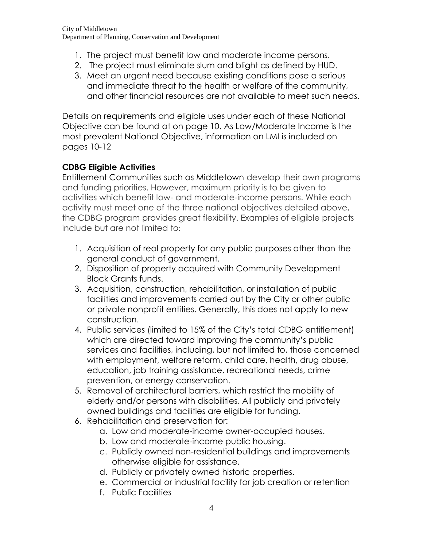- 1. The project must benefit low and moderate income persons.
- 2. The project must eliminate slum and blight as defined by HUD.
- 3. Meet an urgent need because existing conditions pose a serious and immediate threat to the health or welfare of the community, and other financial resources are not available to meet such needs.

Details on requirements and eligible uses under each of these National Objective can be found at on page 10. As Low/Moderate Income is the most prevalent National Objective, information on LMI is included on pages 10-12

# **CDBG Eligible Activities**

Entitlement Communities such as Middletown develop their own programs and funding priorities. However, maximum priority is to be given to activities which benefit low- and moderate-income persons. While each activity must meet one of the three national objectives detailed above, the CDBG program provides great flexibility. Examples of eligible projects include but are not limited to:

- 1. Acquisition of real property for any public purposes other than the general conduct of government.
- 2. Disposition of property acquired with Community Development Block Grants funds.
- 3. Acquisition, construction, rehabilitation, or installation of public facilities and improvements carried out by the City or other public or private nonprofit entities. Generally, this does not apply to new construction.
- 4. Public services (limited to 15% of the City's total CDBG entitlement) which are directed toward improving the community's public services and facilities, including, but not limited to, those concerned with employment, welfare reform, child care, health, drug abuse, education, job training assistance, recreational needs, crime prevention, or energy conservation.
- 5. Removal of architectural barriers, which restrict the mobility of elderly and/or persons with disabilities. All publicly and privately owned buildings and facilities are eligible for funding.
- 6. Rehabilitation and preservation for:
	- a. Low and moderate-income owner-occupied houses.
	- b. Low and moderate-income public housing.
	- c. Publicly owned non-residential buildings and improvements otherwise eligible for assistance.
	- d. Publicly or privately owned historic properties.
	- e. Commercial or industrial facility for job creation or retention
	- f. Public Facilities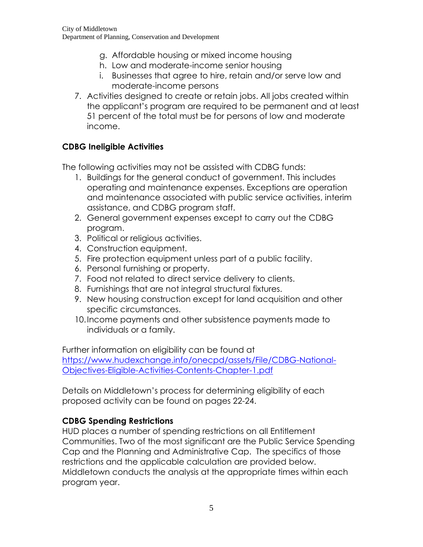- g. Affordable housing or mixed income housing
- h. Low and moderate-income senior housing
- i. Businesses that agree to hire, retain and/or serve low and moderate-income persons
- 7. Activities designed to create or retain jobs. All jobs created within the applicant's program are required to be permanent and at least 51 percent of the total must be for persons of low and moderate income.

# **CDBG Ineligible Activities**

The following activities may not be assisted with CDBG funds:

- 1. Buildings for the general conduct of government. This includes operating and maintenance expenses. Exceptions are operation and maintenance associated with public service activities, interim assistance, and CDBG program staff.
- 2. General government expenses except to carry out the CDBG program.
- 3. Political or religious activities.
- 4. Construction equipment.
- 5. Fire protection equipment unless part of a public facility.
- 6. Personal furnishing or property.
- 7. Food not related to direct service delivery to clients.
- 8. Furnishings that are not integral structural fixtures.
- 9. New housing construction except for land acquisition and other specific circumstances.
- 10.Income payments and other subsistence payments made to individuals or a family.

Further information on eligibility can be found at [https://www.hudexchange.info/onecpd/assets/File/CDBG-National-](https://www.hudexchange.info/onecpd/assets/File/CDBG-National-Objectives-Eligible-Activities-Contents-Chapter-1.pdf)[Objectives-Eligible-Activities-Contents-Chapter-1.pdf](https://www.hudexchange.info/onecpd/assets/File/CDBG-National-Objectives-Eligible-Activities-Contents-Chapter-1.pdf)

Details on Middletown's process for determining eligibility of each proposed activity can be found on pages 22-24.

# **CDBG Spending Restrictions**

HUD places a number of spending restrictions on all Entitlement Communities. Two of the most significant are the Public Service Spending Cap and the Planning and Administrative Cap. The specifics of those restrictions and the applicable calculation are provided below. Middletown conducts the analysis at the appropriate times within each program year.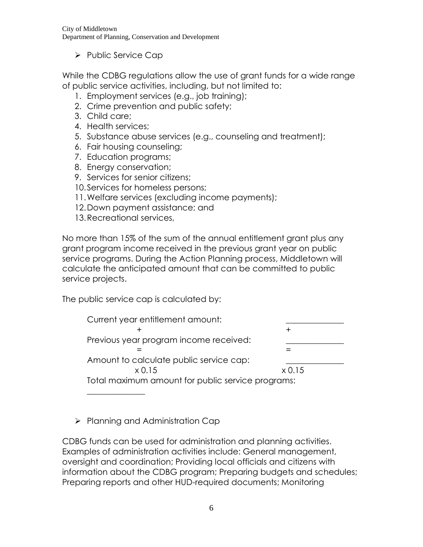City of Middletown Department of Planning, Conservation and Development

 $\triangleright$  Public Service Cap

While the CDBG regulations allow the use of grant funds for a wide range of public service activities, including, but not limited to:

- 1. Employment services (e.g., job training);
- 2. Crime prevention and public safety;
- 3. Child care;
- 4. Health services;
- 5. Substance abuse services (e.g., counseling and treatment);
- 6. Fair housing counseling;
- 7. Education programs;
- 8. Energy conservation;
- 9. Services for senior citizens;
- 10.Services for homeless persons;
- 11.Welfare services (excluding income payments);
- 12.Down payment assistance; and
- 13.Recreational services,

No more than 15% of the sum of the annual entitlement grant plus any grant program income received in the previous grant year on public service programs. During the Action Planning process, Middletown will calculate the anticipated amount that can be committed to public service projects.

The public service cap is calculated by:

Current year entitlement amount:  $+$  + Previous year program income received: = = Amount to calculate public service cap: x 0.15 x 0.15 Total maximum amount for public service programs:

 $\triangleright$  Planning and Administration Cap

 $\overline{\phantom{a}}$ 

CDBG funds can be used for administration and planning activities. Examples of administration activities include: General management, oversight and coordination; Providing local officials and citizens with information about the CDBG program; Preparing budgets and schedules; Preparing reports and other HUD-required documents; Monitoring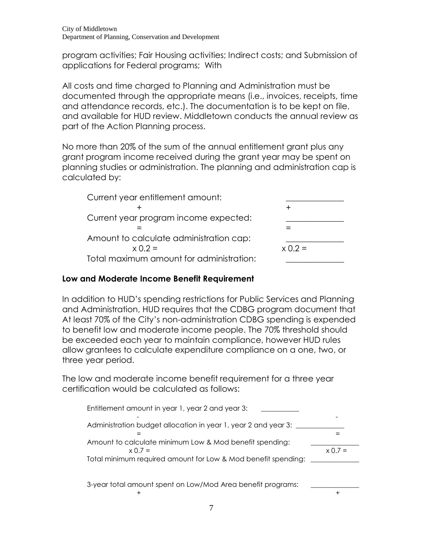program activities; Fair Housing activities; Indirect costs; and Submission of applications for Federal programs; With

All costs and time charged to Planning and Administration must be documented through the appropriate means (i.e., invoices, receipts, time and attendance records, etc.). The documentation is to be kept on file, and available for HUD review. Middletown conducts the annual review as part of the Action Planning process.

No more than 20% of the sum of the annual entitlement grant plus any grant program income received during the grant year may be spent on planning studies or administration. The planning and administration cap is calculated by:

| Current year entitlement amount:         |           |
|------------------------------------------|-----------|
|                                          |           |
| Current year program income expected:    |           |
|                                          |           |
| Amount to calculate administration cap:  |           |
| $x 0.2 =$                                | $x 0.2 =$ |
| Total maximum amount for administration: |           |

# **Low and Moderate Income Benefit Requirement**

In addition to HUD's spending restrictions for Public Services and Planning and Administration, HUD requires that the CDBG program document that At least 70% of the City's non-administration CDBG spending is expended to benefit low and moderate income people. The 70% threshold should be exceeded each year to maintain compliance, however HUD rules allow grantees to calculate expenditure compliance on a one, two, or three year period.

The low and moderate income benefit requirement for a three year certification would be calculated as follows:

| Entitlement amount in year 1, year 2 and year 3:                        |           |
|-------------------------------------------------------------------------|-----------|
| Administration budget allocation in year 1, year 2 and year 3:          |           |
|                                                                         |           |
| Amount to calculate minimum Low & Mod benefit spending:<br>$x \cap 7 =$ | $x(0.7 =$ |
| Total minimum required amount for Low & Mod benefit spending:           |           |
|                                                                         |           |
| 3-year total amount spent on Low/Mod Area benefit programs:             |           |

 $+$  +  $+$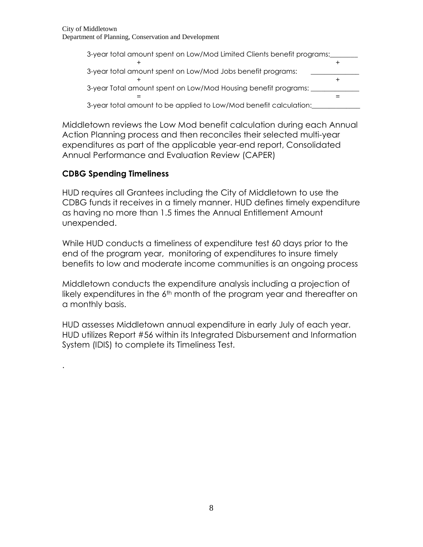| 3-year total amount spent on Low/Mod Limited Clients benefit programs: |  |
|------------------------------------------------------------------------|--|
|                                                                        |  |
| 3-year total amount spent on Low/Mod Jobs benefit programs:            |  |
|                                                                        |  |
| 3-year Total amount spent on Low/Mod Housing benefit programs:         |  |
|                                                                        |  |
| 3-year total amount to be applied to Low/Mod benefit calculation:      |  |

Middletown reviews the Low Mod benefit calculation during each Annual Action Planning process and then reconciles their selected multi-year expenditures as part of the applicable year-end report, Consolidated Annual Performance and Evaluation Review (CAPER)

# **CDBG Spending Timeliness**

.

HUD requires all Grantees including the City of Middletown to use the CDBG funds it receives in a timely manner. HUD defines timely expenditure as having no more than 1.5 times the Annual Entitlement Amount unexpended.

While HUD conducts a timeliness of expenditure test 60 days prior to the end of the program year, monitoring of expenditures to insure timely benefits to low and moderate income communities is an ongoing process

Middletown conducts the expenditure analysis including a projection of likely expenditures in the  $6<sup>th</sup>$  month of the program year and thereafter on a monthly basis.

HUD assesses Middletown annual expenditure in early July of each year. HUD utilizes Report #56 within its Integrated Disbursement and Information System (IDIS) to complete its Timeliness Test.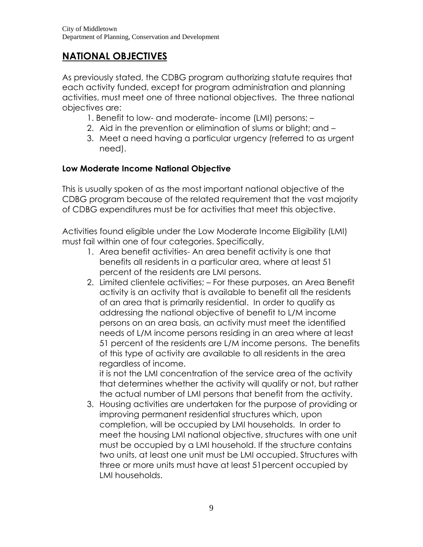# **NATIONAL OBJECTIVES**

As previously stated, the CDBG program authorizing statute requires that each activity funded, except for program administration and planning activities, must meet one of three national objectives. The three national objectives are:

- 1. Benefit to low- and moderate- income (LMI) persons; –
- 2. Aid in the prevention or elimination of slums or blight; and –
- 3. Meet a need having a particular urgency (referred to as urgent need).

# **Low Moderate Income National Objective**

This is usually spoken of as the most important national objective of the CDBG program because of the related requirement that the vast majority of CDBG expenditures must be for activities that meet this objective.

Activities found eligible under the Low Moderate Income Eligibility (LMI) must fail within one of four categories. Specifically,

- 1. Area benefit activities- An area benefit activity is one that benefits all residents in a particular area, where at least 51 percent of the residents are LMI persons.
- 2. Limited clientele activities; For these purposes, an Area Benefit activity is an activity that is available to benefit all the residents of an area that is primarily residential. In order to qualify as addressing the national objective of benefit to L/M income persons on an area basis, an activity must meet the identified needs of L/M income persons residing in an area where at least 51 percent of the residents are L/M income persons. The benefits of this type of activity are available to all residents in the area regardless of income.

it is not the LMI concentration of the service area of the activity that determines whether the activity will qualify or not, but rather the actual number of LMI persons that benefit from the activity.

3. Housing activities are undertaken for the purpose of providing or improving permanent residential structures which, upon completion, will be occupied by LMI households. In order to meet the housing LMI national objective, structures with one unit must be occupied by a LMI household. If the structure contains two units, at least one unit must be LMI occupied. Structures with three or more units must have at least 51percent occupied by LMI households.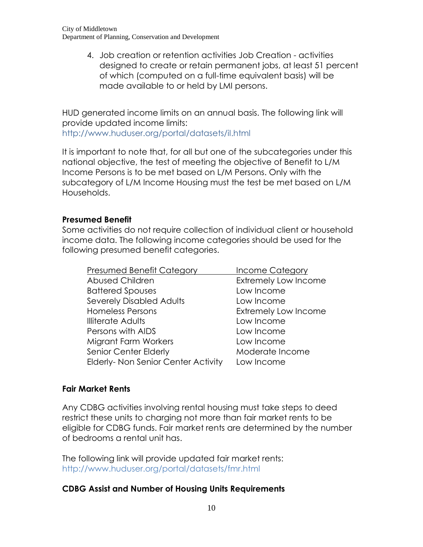4. Job creation or retention activities Job Creation - activities designed to create or retain permanent jobs, at least 51 percent of which (computed on a full-time equivalent basis) will be made available to or held by LMI persons.

HUD generated income limits on an annual basis. The following link will provide updated income limits:

http://www.huduser.org/portal/datasets/il.html

It is important to note that, for all but one of the subcategories under this national objective, the test of meeting the objective of Benefit to L/M Income Persons is to be met based on L/M Persons. Only with the subcategory of L/M Income Housing must the test be met based on L/M Households.

#### **Presumed Benefit**

Some activities do not require collection of individual client or household income data. The following income categories should be used for the following presumed benefit categories.

| <b>Presumed Benefit Category</b>           | <b>Income Category</b>      |
|--------------------------------------------|-----------------------------|
| Abused Children                            | <b>Extremely Low Income</b> |
| <b>Battered Spouses</b>                    | Low Income                  |
| <b>Severely Disabled Adults</b>            | Low Income                  |
| <b>Homeless Persons</b>                    | <b>Extremely Low Income</b> |
| <b>Illiterate Adults</b>                   | Low Income                  |
| Persons with AIDS                          | Low Income                  |
| <b>Migrant Farm Workers</b>                | Low Income                  |
| Senior Center Elderly                      | Moderate Income             |
| <b>Elderly- Non Senior Center Activity</b> | Low Income                  |

#### **Fair Market Rents**

Any CDBG activities involving rental housing must take steps to deed restrict these units to charging not more than fair market rents to be eligible for CDBG funds. Fair market rents are determined by the number of bedrooms a rental unit has.

The following link will provide updated fair market rents: http://www.huduser.org/portal/datasets/fmr.html

#### **CDBG Assist and Number of Housing Units Requirements**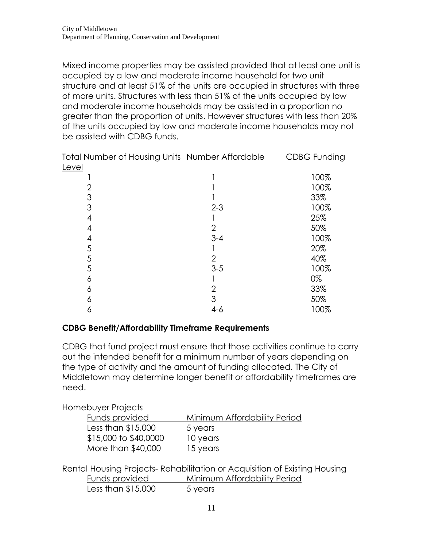Mixed income properties may be assisted provided that at least one unit is occupied by a low and moderate income household for two unit structure and at least 51% of the units are occupied in structures with three of more units. Structures with less than 51% of the units occupied by low and moderate income households may be assisted in a proportion no greater than the proportion of units. However structures with less than 20% of the units occupied by low and moderate income households may not be assisted with CDBG funds.

| Total Number of Housing Units Number Affordable |                | <b>CDBG Funding</b> |
|-------------------------------------------------|----------------|---------------------|
| Level                                           |                |                     |
|                                                 |                | 100%                |
| 2                                               |                | 100%                |
| 3                                               |                | 33%                 |
| 3                                               | $2 - 3$        | 100%                |
| 4                                               |                | 25%                 |
| 4                                               | $\overline{2}$ | 50%                 |
| 4                                               | $3 - 4$        | 100%                |
| 5                                               |                | 20%                 |
| 5                                               | $\overline{2}$ | 40%                 |
| 5                                               | $3-5$          | 100%                |
| 6                                               |                | 0%                  |
| 6                                               |                | 33%                 |
| 6                                               | 3              | 50%                 |
| 6                                               | $4 - 6$        | 100%                |

#### **CDBG Benefit/Affordability Timeframe Requirements**

CDBG that fund project must ensure that those activities continue to carry out the intended benefit for a minimum number of years depending on the type of activity and the amount of funding allocated. The City of Middletown may determine longer benefit or affordability timeframes are need.

#### Homebuyer Projects

| Funds provided        | Minimum Affordability Period |
|-----------------------|------------------------------|
| Less than \$15,000    | 5 years                      |
| \$15,000 to \$40,0000 | 10 years                     |
| More than \$40,000    | 15 years                     |

Rental Housing Projects- Rehabilitation or Acquisition of Existing Housing Funds provided Minimum Affordability Period

| Less than \$15,000<br>5 years |  |
|-------------------------------|--|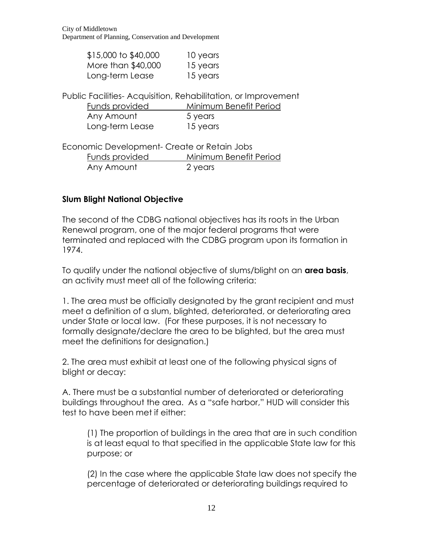| \$15,000 to \$40,000 | 10 years |
|----------------------|----------|
| More than \$40,000   | 15 years |
| Long-term Lease      | 15 years |

Public Facilities- Acquisition, Rehabilitation, or Improvement

| Funds provided  | Minimum Benefit Period |
|-----------------|------------------------|
| Any Amount      | 5 years                |
| Long-term Lease | 15 years               |

Economic Development- Create or Retain Jobs Funds provided Minimum Benefit Period Any Amount 2 years

# **Slum Blight National Objective**

The second of the CDBG national objectives has its roots in the Urban Renewal program, one of the major federal programs that were terminated and replaced with the CDBG program upon its formation in 1974.

To qualify under the national objective of slums/blight on an **area basis**, an activity must meet all of the following criteria:

1. The area must be officially designated by the grant recipient and must meet a definition of a slum, blighted, deteriorated, or deteriorating area under State or local law. (For these purposes, it is not necessary to formally designate/declare the area to be blighted, but the area must meet the definitions for designation.)

2. The area must exhibit at least one of the following physical signs of blight or decay:

A. There must be a substantial number of deteriorated or deteriorating buildings throughout the area. As a "safe harbor," HUD will consider this test to have been met if either:

(1) The proportion of buildings in the area that are in such condition is at least equal to that specified in the applicable State law for this purpose; or

(2) In the case where the applicable State law does not specify the percentage of deteriorated or deteriorating buildings required to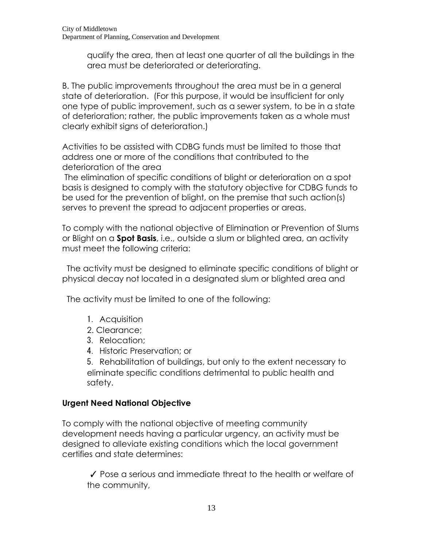qualify the area, then at least one quarter of all the buildings in the area must be deteriorated or deteriorating.

B. The public improvements throughout the area must be in a general state of deterioration. (For this purpose, it would be insufficient for only one type of public improvement, such as a sewer system, to be in a state of deterioration; rather, the public improvements taken as a whole must clearly exhibit signs of deterioration.)

Activities to be assisted with CDBG funds must be limited to those that address one or more of the conditions that contributed to the deterioration of the area

The elimination of specific conditions of blight or deterioration on a spot basis is designed to comply with the statutory objective for CDBG funds to be used for the prevention of blight, on the premise that such action(s) serves to prevent the spread to adjacent properties or areas.

To comply with the national objective of Elimination or Prevention of Slums or Blight on a **Spot Basis**, i.e., outside a slum or blighted area, an activity must meet the following criteria:

 The activity must be designed to eliminate specific conditions of blight or physical decay not located in a designated slum or blighted area and

The activity must be limited to one of the following:

- 1. Acquisition
- 2. Clearance;
- 3. Relocation;
- 4. Historic Preservation; or

5. Rehabilitation of buildings, but only to the extent necessary to eliminate specific conditions detrimental to public health and safety.

# **Urgent Need National Objective**

To comply with the national objective of meeting community development needs having a particular urgency, an activity must be designed to alleviate existing conditions which the local government certifies and state determines:

✓ Pose a serious and immediate threat to the health or welfare of the community,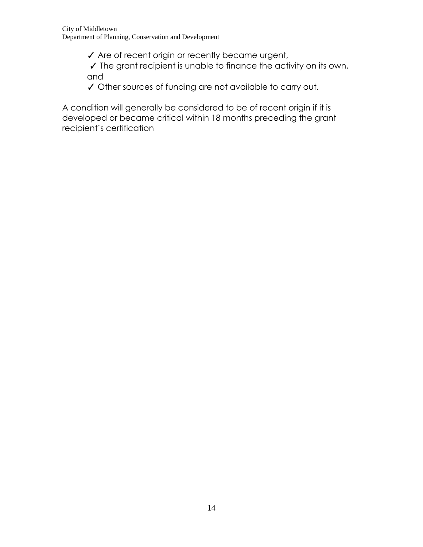- ✓ Are of recent origin or recently became urgent,
- ✓ The grant recipient is unable to finance the activity on its own, and
- ✓ Other sources of funding are not available to carry out.

A condition will generally be considered to be of recent origin if it is developed or became critical within 18 months preceding the grant recipient's certification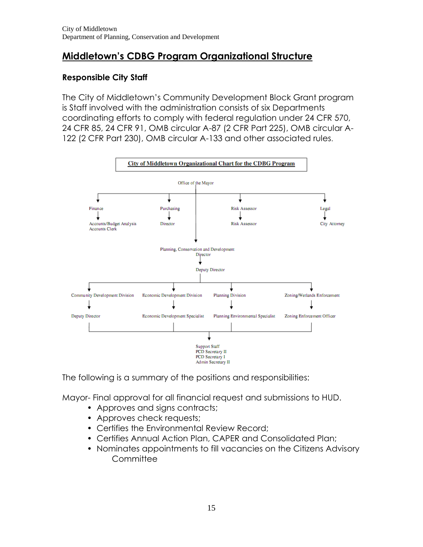# **Middletown's CDBG Program Organizational Structure**

# **Responsible City Staff**

The City of Middletown's Community Development Block Grant program is Staff involved with the administration consists of six Departments coordinating efforts to comply with federal regulation under 24 CFR 570, 24 CFR 85, 24 CFR 91, OMB circular A-87 (2 CFR Part 225), OMB circular A-122 (2 CFR Part 230), OMB circular A-133 and other associated rules.



The following is a summary of the positions and responsibilities:

Mayor- Final approval for all financial request and submissions to HUD.

- Approves and signs contracts;
- Approves check requests;
- Certifies the Environmental Review Record;
- Certifies Annual Action Plan, CAPER and Consolidated Plan;
- Nominates appointments to fill vacancies on the Citizens Advisory **Committee**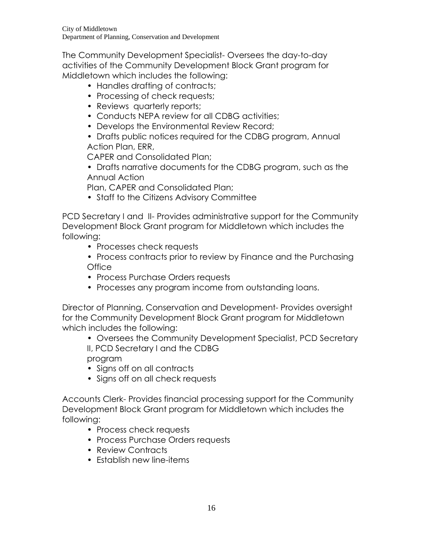The Community Development Specialist- Oversees the day-to-day activities of the Community Development Block Grant program for Middletown which includes the following:

- Handles drafting of contracts;
- Processing of check requests;
- Reviews quarterly reports;
- Conducts NEPA review for all CDBG activities;
- Develops the Environmental Review Record:
- Drafts public notices required for the CDBG program, Annual Action Plan, ERR,

CAPER and Consolidated Plan;

• Drafts narrative documents for the CDBG program, such as the Annual Action

Plan, CAPER and Consolidated Plan;

• Staff to the Citizens Advisory Committee

PCD Secretary I and II- Provides administrative support for the Community Development Block Grant program for Middletown which includes the following:

- Processes check requests
- Process contracts prior to review by Finance and the Purchasing **Office**
- Process Purchase Orders requests
- Processes any program income from outstanding loans.

Director of Planning, Conservation and Development- Provides oversight for the Community Development Block Grant program for Middletown which includes the following:

- Oversees the Community Development Specialist, PCD Secretary II, PCD Secretary I and the CDBG program
- Signs off on all contracts
- Signs off on all check requests

Accounts Clerk- Provides financial processing support for the Community Development Block Grant program for Middletown which includes the following:

- Process check requests
- Process Purchase Orders requests
- Review Contracts
- Establish new line-items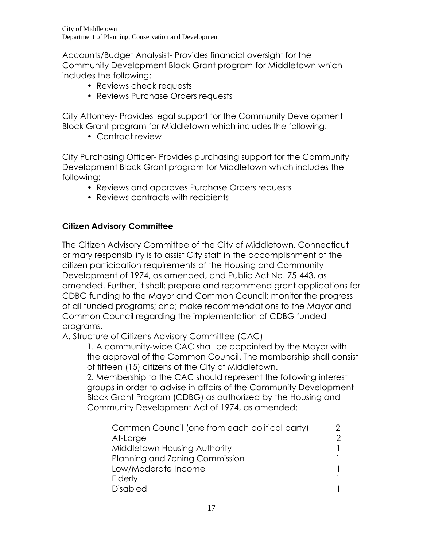Accounts/Budget Analysist- Provides financial oversight for the Community Development Block Grant program for Middletown which includes the following:

- Reviews check requests
- Reviews Purchase Orders requests

City Attorney- Provides legal support for the Community Development Block Grant program for Middletown which includes the following:

• Contract review

City Purchasing Officer- Provides purchasing support for the Community Development Block Grant program for Middletown which includes the following:

- Reviews and approves Purchase Orders requests
- Reviews contracts with recipients

# **Citizen Advisory Committee**

The Citizen Advisory Committee of the City of Middletown, Connecticut primary responsibility is to assist City staff in the accomplishment of the citizen participation requirements of the Housing and Community Development of 1974, as amended, and Public Act No. 75-443, as amended. Further, it shall: prepare and recommend grant applications for CDBG funding to the Mayor and Common Council; monitor the progress of all funded programs; and; make recommendations to the Mayor and Common Council regarding the implementation of CDBG funded programs.

A. Structure of Citizens Advisory Committee (CAC)

1. A community-wide CAC shall be appointed by the Mayor with the approval of the Common Council. The membership shall consist of fifteen (15) citizens of the City of Middletown.

2. Membership to the CAC should represent the following interest groups in order to advise in affairs of the Community Development Block Grant Program (CDBG) as authorized by the Housing and Community Development Act of 1974, as amended:

| Common Council (one from each political party) |   |
|------------------------------------------------|---|
| At-Large                                       | ႒ |
| Middletown Housing Authority                   |   |
| Planning and Zoning Commission                 |   |
| Low/Moderate Income                            |   |
| Elderly                                        |   |
| <b>Disabled</b>                                |   |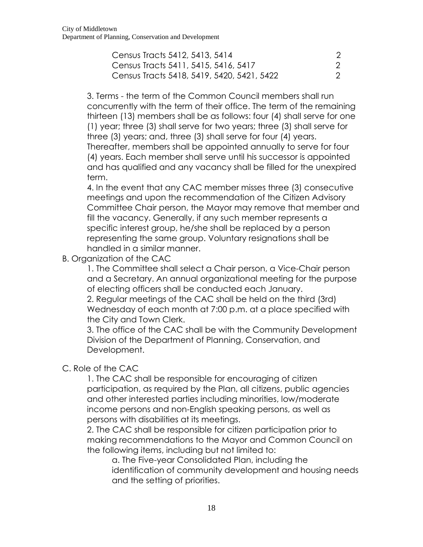| Census Tracts 5412, 5413, 5414             |  |
|--------------------------------------------|--|
| Census Tracts 5411, 5415, 5416, 5417       |  |
| Census Tracts 5418, 5419, 5420, 5421, 5422 |  |

3. Terms - the term of the Common Council members shall run concurrently with the term of their office. The term of the remaining thirteen (13) members shall be as follows: four (4) shall serve for one (1) year; three (3) shall serve for two years; three (3) shall serve for three (3) years; and, three (3) shall serve for four (4) years. Thereafter, members shall be appointed annually to serve for four

(4) years. Each member shall serve until his successor is appointed and has qualified and any vacancy shall be filled for the unexpired term.

4. In the event that any CAC member misses three (3) consecutive meetings and upon the recommendation of the Citizen Advisory Committee Chair person, the Mayor may remove that member and fill the vacancy. Generally, if any such member represents a specific interest group, he/she shall be replaced by a person representing the same group. Voluntary resignations shall be handled in a similar manner.

B. Organization of the CAC

1. The Committee shall select a Chair person, a Vice-Chair person and a Secretary. An annual organizational meeting for the purpose of electing officers shall be conducted each January.

2. Regular meetings of the CAC shall be held on the third (3rd) Wednesday of each month at 7:00 p.m. at a place specified with the City and Town Clerk.

3. The office of the CAC shall be with the Community Development Division of the Department of Planning, Conservation, and Development.

# C. Role of the CAC

1. The CAC shall be responsible for encouraging of citizen participation, as required by the Plan, all citizens, public agencies and other interested parties including minorities, low/moderate income persons and non-English speaking persons, as well as persons with disabilities at its meetings.

2. The CAC shall be responsible for citizen participation prior to making recommendations to the Mayor and Common Council on the following items, including but not limited to:

a. The Five-year Consolidated Plan, including the identification of community development and housing needs and the setting of priorities.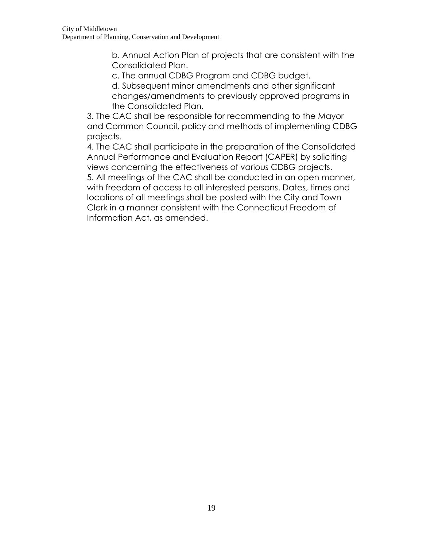b. Annual Action Plan of projects that are consistent with the Consolidated Plan.

c. The annual CDBG Program and CDBG budget.

d. Subsequent minor amendments and other significant changes/amendments to previously approved programs in the Consolidated Plan.

3. The CAC shall be responsible for recommending to the Mayor and Common Council, policy and methods of implementing CDBG projects.

4. The CAC shall participate in the preparation of the Consolidated Annual Performance and Evaluation Report (CAPER) by soliciting views concerning the effectiveness of various CDBG projects.

5. All meetings of the CAC shall be conducted in an open manner, with freedom of access to all interested persons. Dates, times and locations of all meetings shall be posted with the City and Town Clerk in a manner consistent with the Connecticut Freedom of Information Act, as amended.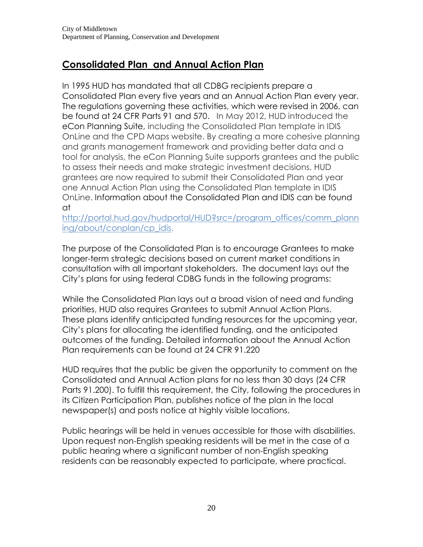# **Consolidated Plan and Annual Action Plan**

In 1995 HUD has mandated that all CDBG recipients prepare a Consolidated Plan every five years and an Annual Action Plan every year. The regulations governing these activities, which were revised in 2006, can be found at [24 CFR Parts 91 and 570.](http://portal.hud.gov/hudportal/documents/huddoc?id=20393_finalrule.pdf) In May 2012, HUD introduced the [eCon Planning Suite,](https://www.hudexchange.info/consolidated-plan/econ-planning-suite/) including the Consolidated Plan template in IDIS OnLine and the CPD Maps website. By creating a more cohesive planning and grants management framework and providing better data and a tool for analysis, the eCon Planning Suite supports grantees and the public to assess their needs and make strategic investment decisions. HUD grantees are now required to submit their Consolidated Plan and year one Annual Action Plan using the Consolidated Plan template in IDIS OnLine. Information about the Consolidated Plan and IDIS can be found at

[http://portal.hud.gov/hudportal/HUD?src=/program\\_offices/comm\\_plann](http://portal.hud.gov/hudportal/HUD?src=/program_offices/comm_planning/about/conplan/cp_idis) [ing/about/conplan/cp\\_idis.](http://portal.hud.gov/hudportal/HUD?src=/program_offices/comm_planning/about/conplan/cp_idis)

The purpose of the Consolidated Plan is to encourage Grantees to make longer-term strategic decisions based on current market conditions in consultation with all important stakeholders. The document lays out the City's plans for using federal CDBG funds in the following programs:

While the Consolidated Plan lays out a broad vision of need and funding priorities, HUD also requires Grantees to submit Annual Action Plans. These plans identify anticipated funding resources for the upcoming year, City's plans for allocating the identified funding, and the anticipated outcomes of the funding. Detailed information about the Annual Action Plan requirements can be found at [24 CFR 91.220](http://cfr.vlex.com/vid/91-220-action-plan-19925378)

HUD requires that the public be given the opportunity to comment on the Consolidated and Annual Action plans for no less than 30 days (24 CFR Parts 91.200). To fulfill this requirement, the City, following the procedures in its Citizen Participation Plan, publishes notice of the plan in the local newspaper(s) and posts notice at highly visible locations.

Public hearings will be held in venues accessible for those with disabilities. Upon request non-English speaking residents will be met in the case of a public hearing where a significant number of non-English speaking residents can be reasonably expected to participate, where practical.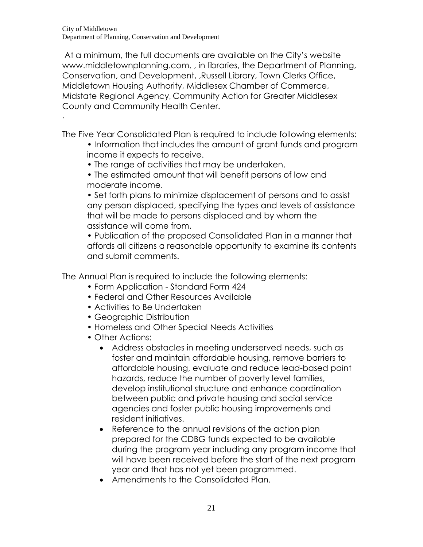.

At a minimum, the full documents are available on the City's website www.middletownplanning.com. , in libraries, the Department of Planning, Conservation, and Development, ,Russell Library, Town Clerks Office, Middletown Housing Authority, Middlesex Chamber of Commerce, Midstate Regional Agency, Community Action for Greater Middlesex County and Community Health Center.

The Five Year Consolidated Plan is required to include following elements:

- Information that includes the amount of grant funds and program income it expects to receive.
- The range of activities that may be undertaken.
- The estimated amount that will benefit persons of low and moderate income.

• Set forth plans to minimize displacement of persons and to assist any person displaced, specifying the types and levels of assistance that will be made to persons displaced and by whom the assistance will come from.

• Publication of the proposed Consolidated Plan in a manner that affords all citizens a reasonable opportunity to examine its contents and submit comments.

The Annual Plan is required to include the following elements:

- Form Application Standard Form 424
- Federal and Other Resources Available
- Activities to Be Undertaken
- Geographic Distribution
- Homeless and Other Special Needs Activities
- Other Actions:
	- Address obstacles in meeting underserved needs, such as foster and maintain affordable housing, remove barriers to affordable housing, evaluate and reduce lead-based paint hazards, reduce the number of poverty level families, develop institutional structure and enhance coordination between public and private housing and social service agencies and foster public housing improvements and resident initiatives.
	- Reference to the annual revisions of the action plan prepared for the CDBG funds expected to be available during the program year including any program income that will have been received before the start of the next program year and that has not yet been programmed.
	- Amendments to the Consolidated Plan.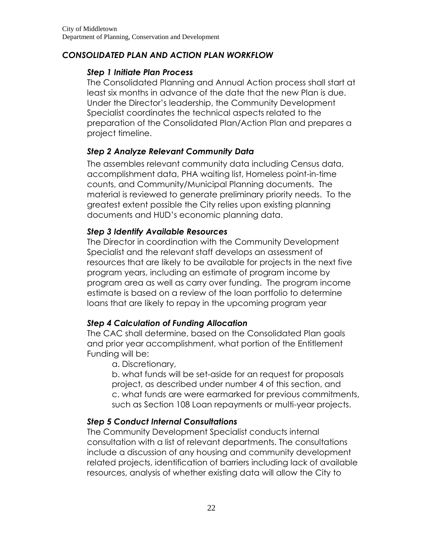#### *CONSOLIDATED PLAN AND ACTION PLAN WORKFLOW*

#### *Step 1 Initiate Plan Process*

The Consolidated Planning and Annual Action process shall start at least six months in advance of the date that the new Plan is due. Under the Director's leadership, the Community Development Specialist coordinates the technical aspects related to the preparation of the Consolidated Plan/Action Plan and prepares a project timeline.

# *Step 2 Analyze Relevant Community Data*

The assembles relevant community data including Census data, accomplishment data, PHA waiting list, Homeless point-in-time counts, and Community/Municipal Planning documents. The material is reviewed to generate preliminary priority needs. To the greatest extent possible the City relies upon existing planning documents and HUD's economic planning data.

# *Step 3 Identify Available Resources*

The Director in coordination with the Community Development Specialist and the relevant staff develops an assessment of resources that are likely to be available for projects in the next five program years, including an estimate of program income by program area as well as carry over funding. The program income estimate is based on a review of the loan portfolio to determine loans that are likely to repay in the upcoming program year

# *Step 4 Calculation of Funding Allocation*

The CAC shall determine, based on the Consolidated Plan goals and prior year accomplishment, what portion of the Entitlement Funding will be:

# a. Discretionary,

b. what funds will be set-aside for an request for proposals project, as described under number 4 of this section, and c. what funds are were earmarked for previous commitments, such as Section 108 Loan repayments or multi-year projects.

# *Step 5 Conduct Internal Consultations*

The Community Development Specialist conducts internal consultation with a list of relevant departments. The consultations include a discussion of any housing and community development related projects, identification of barriers including lack of available resources, analysis of whether existing data will allow the City to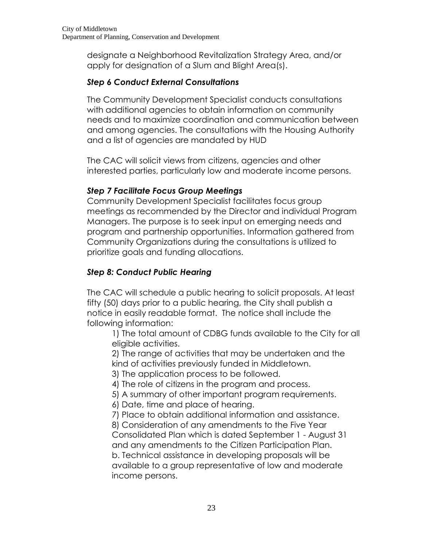designate a Neighborhood Revitalization Strategy Area, and/or apply for designation of a Slum and Blight Area(s).

# *Step 6 Conduct External Consultations*

The Community Development Specialist conducts consultations with additional agencies to obtain information on community needs and to maximize coordination and communication between and among agencies. The consultations with the Housing Authority and a list of agencies are mandated by HUD

The CAC will solicit views from citizens, agencies and other interested parties, particularly low and moderate income persons.

# *Step 7 Facilitate Focus Group Meetings*

Community Development Specialist facilitates focus group meetings as recommended by the Director and individual Program Managers. The purpose is to seek input on emerging needs and program and partnership opportunities. Information gathered from Community Organizations during the consultations is utilized to prioritize goals and funding allocations.

# *Step 8: Conduct Public Hearing*

The CAC will schedule a public hearing to solicit proposals. At least fifty (50) days prior to a public hearing, the City shall publish a notice in easily readable format. The notice shall include the following information:

1) The total amount of CDBG funds available to the City for all eligible activities.

2) The range of activities that may be undertaken and the kind of activities previously funded in Middletown.

3) The application process to be followed.

4) The role of citizens in the program and process.

5) A summary of other important program requirements.

6) Date, time and place of hearing.

7) Place to obtain additional information and assistance.

8) Consideration of any amendments to the Five Year Consolidated Plan which is dated September 1 - August 31 and any amendments to the Citizen Participation Plan. b. Technical assistance in developing proposals will be available to a group representative of low and moderate income persons.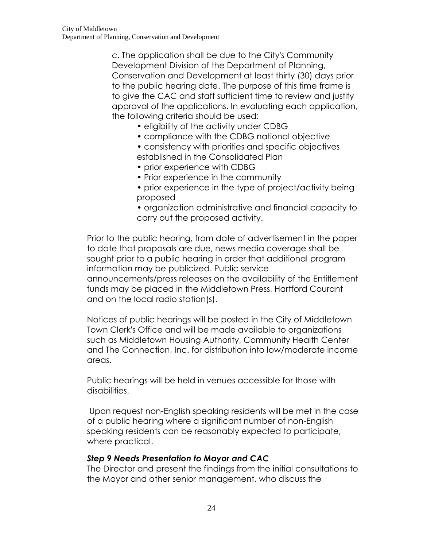c. The application shall be due to the City's Community Development Division of the Department of Planning, Conservation and Development at least thirty (30) days prior to the public hearing date. The purpose of this time frame is to give the CAC and staff sufficient time to review and justify approval of the applications. In evaluating each application, the following criteria should be used:

- eligibility of the activity under CDBG
- compliance with the CDBG national objective
- consistency with priorities and specific objectives established in the Consolidated Plan
- prior experience with CDBG
- Prior experience in the community
- prior experience in the type of project/activity being proposed
- organization administrative and financial capacity to carry out the proposed activity.

Prior to the public hearing, from date of advertisement in the paper to date that proposals are due, news media coverage shall be sought prior to a public hearing in order that additional program information may be publicized. Public service announcements/press releases on the availability of the Entitlement funds may be placed in the Middletown Press, Hartford Courant and on the local radio station(s).

Notices of public hearings will be posted in the City of Middletown Town Clerk's Office and will be made available to organizations such as Middletown Housing Authority, Community Health Center and The Connection, Inc. for distribution into low/moderate income areas.

Public hearings will be held in venues accessible for those with disabilities.

Upon request non-English speaking residents will be met in the case of a public hearing where a significant number of non-English speaking residents can be reasonably expected to participate, where practical.

#### *Step 9 Needs Presentation to Mayor and CAC*

The Director and present the findings from the initial consultations to the Mayor and other senior management, who discuss the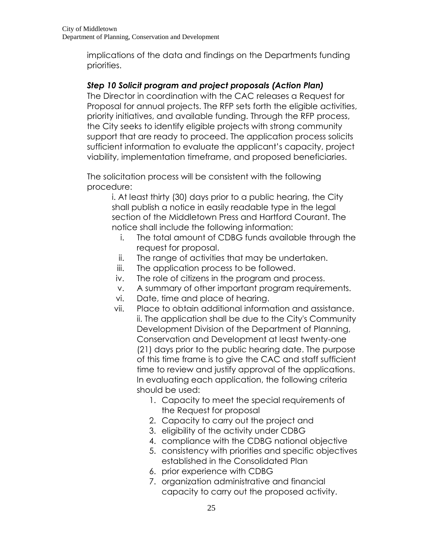implications of the data and findings on the Departments funding priorities.

# *Step 10 Solicit program and project proposals (Action Plan)*

The Director in coordination with the CAC releases a Request for Proposal for annual projects. The RFP sets forth the eligible activities, priority initiatives, and available funding. Through the RFP process, the City seeks to identify eligible projects with strong community support that are ready to proceed. The application process solicits sufficient information to evaluate the applicant's capacity, project viability, implementation timeframe, and proposed beneficiaries.

The solicitation process will be consistent with the following procedure:

> i. At least thirty (30) days prior to a public hearing, the City shall publish a notice in easily readable type in the legal section of the Middletown Press and Hartford Courant. The notice shall include the following information:

- i. The total amount of CDBG funds available through the request for proposal.
- ii. The range of activities that may be undertaken.
- iii. The application process to be followed.
- iv. The role of citizens in the program and process.
- v. A summary of other important program requirements.
- vi. Date, time and place of hearing.
- vii. Place to obtain additional information and assistance. ii. The application shall be due to the City's Community Development Division of the Department of Planning, Conservation and Development at least twenty-one (21) days prior to the public hearing date. The purpose of this time frame is to give the CAC and staff sufficient time to review and justify approval of the applications. In evaluating each application, the following criteria should be used:
	- 1. Capacity to meet the special requirements of the Request for proposal
	- 2. Capacity to carry out the project and
	- 3. eligibility of the activity under CDBG
	- 4. compliance with the CDBG national objective
	- 5. consistency with priorities and specific objectives established in the Consolidated Plan
	- 6. prior experience with CDBG
	- 7. organization administrative and financial capacity to carry out the proposed activity.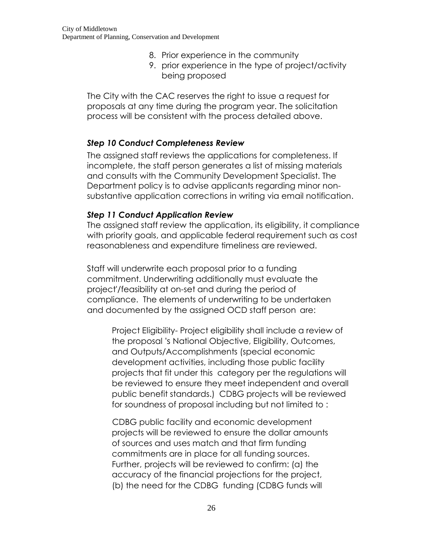- 8. Prior experience in the community
- 9. prior experience in the type of project/activity being proposed

The City with the CAC reserves the right to issue a request for proposals at any time during the program year. The solicitation process will be consistent with the process detailed above.

#### *Step 10 Conduct Completeness Review*

The assigned staff reviews the applications for completeness. If incomplete, the staff person generates a list of missing materials and consults with the Community Development Specialist. The Department policy is to advise applicants regarding minor nonsubstantive application corrections in writing via email notification.

#### *Step 11 Conduct Application Review*

The assigned staff review the application, its eligibility, it compliance with priority goals, and applicable federal requirement such as cost reasonableness and expenditure timeliness are reviewed.

Staff will underwrite each proposal prior to a funding commitment. Underwriting additionally must evaluate the project'/feasibility at on-set and during the period of compliance. The elements of underwriting to be undertaken and documented by the assigned OCD staff person are:

Project Eligibility- Project eligibility shall include a review of the proposal 's National Objective, Eligibility, Outcomes, and Outputs/Accomplishments (special economic development activities, including those public facility projects that fit under this category per the regulations will be reviewed to ensure they meet independent and overall public benefit standards.) CDBG projects will be reviewed for soundness of proposal including but not limited to :

CDBG public facility and economic development projects will be reviewed to ensure the dollar amounts of sources and uses match and that firm funding commitments are in place for all funding sources. Further, projects will be reviewed to confirm: (a) the accuracy of the financial projections for the project, (b) the need for the CDBG funding (CDBG funds will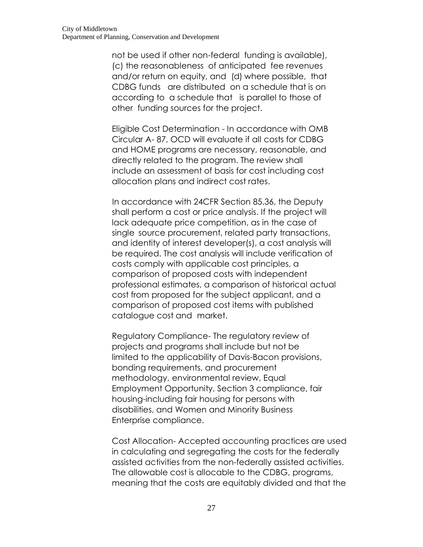not be used if other non-federal funding is available), (c) the reasonableness of anticipated fee revenues and/or return on equity, and (d) where possible, that CDBG funds are distributed on a schedule that is on according to a schedule that is parallel to those of other funding sources for the project.

Eligible Cost Determination - In accordance with OMB Circular A- 87, OCD will evaluate if all costs for CDBG and HOME programs are necessary, reasonable, and directly related to the program. The review shall include an assessment of basis for cost including cost allocation plans and indirect cost rates.

In accordance with 24CFR Section 85.36, the Deputy shall perform a cost or price analysis. If the project will lack adequate price competition, as in the case of single source procurement, related party transactions, and identity of interest developer(s), a cost analysis will be required. The cost analysis will include verification of costs comply with applicable cost principles, a comparison of proposed costs with independent professional estimates, a comparison of historical actual cost from proposed for the subject applicant, and a comparison of proposed cost items with published catalogue cost and market.

Regulatory Compliance- The regulatory review of projects and programs shall include but not be limited to the applicability of Davis-Bacon provisions, bonding requirements, and procurement methodology, environmental review, Equal Employment Opportunity, Section 3 compliance, fair housing-including fair housing for persons with disabilities, and Women and Minority Business Enterprise compliance.

Cost Allocation- Accepted accounting practices are used in calculating and segregating the costs for the federally assisted activities from the non-federally assisted activities. The allowable cost is allocable to the CDBG, programs, meaning that the costs are equitably divided and that the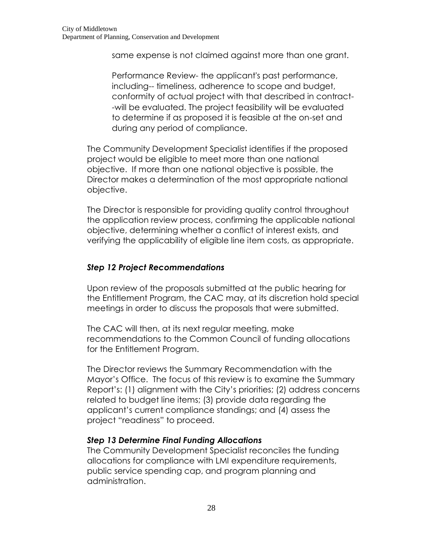same expense is not claimed against more than one grant.

Performance Review- the applicant's past performance, including-- timeliness, adherence to scope and budget, conformity of actual project with that described in contract- -will be evaluated. The project feasibility will be evaluated to determine if as proposed it is feasible at the on-set and during any period of compliance.

The Community Development Specialist identifies if the proposed project would be eligible to meet more than one national objective. If more than one national objective is possible, the Director makes a determination of the most appropriate national objective.

The Director is responsible for providing quality control throughout the application review process, confirming the applicable national objective, determining whether a conflict of interest exists, and verifying the applicability of eligible line item costs, as appropriate.

#### *Step 12 Project Recommendations*

Upon review of the proposals submitted at the public hearing for the Entitlement Program, the CAC may, at its discretion hold special meetings in order to discuss the proposals that were submitted.

The CAC will then, at its next regular meeting, make recommendations to the Common Council of funding allocations for the Entitlement Program.

The Director reviews the Summary Recommendation with the Mayor's Office. The focus of this review is to examine the Summary Report's: (1) alignment with the City's priorities; (2) address concerns related to budget line items; (3) provide data regarding the applicant's current compliance standings; and (4) assess the project "readiness" to proceed.

#### *Step 13 Determine Final Funding Allocations*

The Community Development Specialist reconciles the funding allocations for compliance with LMI expenditure requirements, public service spending cap, and program planning and administration.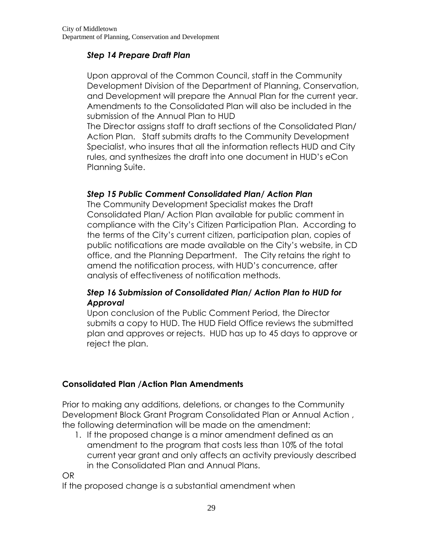#### *Step 14 Prepare Draft Plan*

Upon approval of the Common Council, staff in the Community Development Division of the Department of Planning, Conservation, and Development will prepare the Annual Plan for the current year. Amendments to the Consolidated Plan will also be included in the submission of the Annual Plan to HUD

The Director assigns staff to draft sections of the Consolidated Plan/ Action Plan. Staff submits drafts to the Community Development Specialist, who insures that all the information reflects HUD and City rules, and synthesizes the draft into one document in HUD's [eCon](https://www.hudexchange.info/consolidated-plan/econ-planning-suite/)  [Planning Suite.](https://www.hudexchange.info/consolidated-plan/econ-planning-suite/)

#### *Step 15 Public Comment Consolidated Plan/ Action Plan*

The Community Development Specialist makes the Draft Consolidated Plan/ Action Plan available for public comment in compliance with the City's Citizen Participation Plan. According to the terms of the City's current citizen, participation plan, copies of public notifications are made available on the City's website, in CD office, and the Planning Department. The City retains the right to amend the notification process, with HUD's concurrence, after analysis of effectiveness of notification methods.

#### *Step 16 Submission of Consolidated Plan/ Action Plan to HUD for Approval*

Upon conclusion of the Public Comment Period, the Director submits a copy to HUD. The HUD Field Office reviews the submitted plan and approves or rejects. HUD has up to 45 days to approve or reject the plan.

# **Consolidated Plan /Action Plan Amendments**

Prior to making any additions, deletions, or changes to the Community Development Block Grant Program Consolidated Plan or Annual Action , the following determination will be made on the amendment:

1. If the proposed change is a minor amendment defined as an amendment to the program that costs less than 10% of the total current year grant and only affects an activity previously described in the Consolidated Plan and Annual Plans.

OR

If the proposed change is a substantial amendment when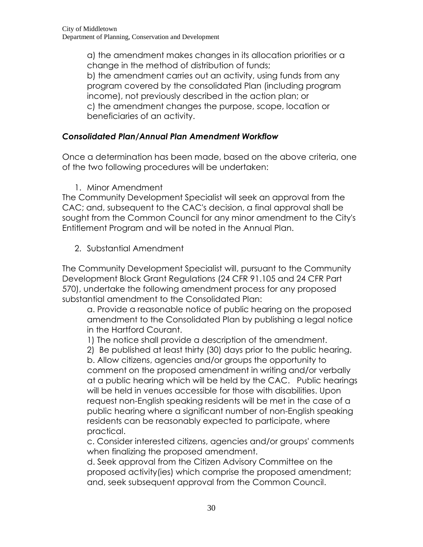a) the amendment makes changes in its allocation priorities or a change in the method of distribution of funds; b) the amendment carries out an activity, using funds from any program covered by the consolidated Plan (including program income), not previously described in the action plan; or c) the amendment changes the purpose, scope, location or beneficiaries of an activity.

# *Consolidated Plan/Annual Plan Amendment Workflow*

Once a determination has been made, based on the above criteria, one of the two following procedures will be undertaken:

1. Minor Amendment

The Community Development Specialist will seek an approval from the CAC; and, subsequent to the CAC's decision, a final approval shall be sought from the Common Council for any minor amendment to the City's Entitlement Program and will be noted in the Annual Plan.

2. Substantial Amendment

The Community Development Specialist will, pursuant to the Community Development Block Grant Regulations (24 CFR 91.105 and 24 CFR Part 570), undertake the following amendment process for any proposed substantial amendment to the Consolidated Plan:

a. Provide a reasonable notice of public hearing on the proposed amendment to the Consolidated Plan by publishing a legal notice in the Hartford Courant.

1) The notice shall provide a description of the amendment.

2) Be published at least thirty (30) days prior to the public hearing.

b. Allow citizens, agencies and/or groups the opportunity to comment on the proposed amendment in writing and/or verbally at a public hearing which will be held by the CAC. Public hearings will be held in venues accessible for those with disabilities. Upon request non-English speaking residents will be met in the case of a public hearing where a significant number of non-English speaking residents can be reasonably expected to participate, where practical.

c. Consider interested citizens, agencies and/or groups' comments when finalizing the proposed amendment.

d. Seek approval from the Citizen Advisory Committee on the proposed activity(ies) which comprise the proposed amendment; and, seek subsequent approval from the Common Council.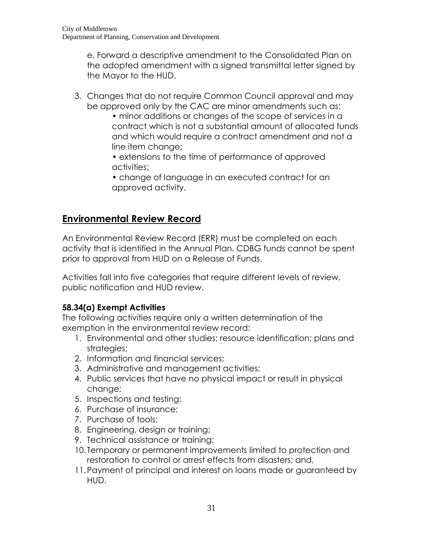e. Forward a descriptive amendment to the Consolidated Plan on the adopted amendment with a signed transmittal letter signed by the Mayor to the HUD.

- 3. Changes that do not require Common Council approval and may be approved only by the CAC are minor amendments such as:
	- minor additions or changes of the scope of services in a contract which is not a substantial amount of allocated funds and which would require a contract amendment and not a line item change;
	- extensions to the time of performance of approved activities;
	- change of language in an executed contract for an approved activity.

# **Environmental Review Record**

An Environmental Review Record (ERR) must be completed on each activity that is identified in the Annual Plan. CDBG funds cannot be spent prior to approval from HUD on a Release of Funds.

Activities fall into five categories that require different levels of review, public notification and HUD review.

# **58.34(a) Exempt Activities**

The following activities require only a written determination of the exemption in the environmental review record:

- 1. Environmental and other studies; resource identification; plans and strategies;
- 2. Information and financial services;
- 3. Administrative and management activities;
- 4. Public services that have no physical impact or result in physical change;
- 5. Inspections and testing;
- 6. Purchase of insurance;
- 7. Purchase of tools;
- 8. Engineering, design or training;
- 9. Technical assistance or training;
- 10. Temporary or permanent improvements limited to protection and restoration to control or arrest effects from disasters; and,
- 11.Payment of principal and interest on loans made or guaranteed by HUD.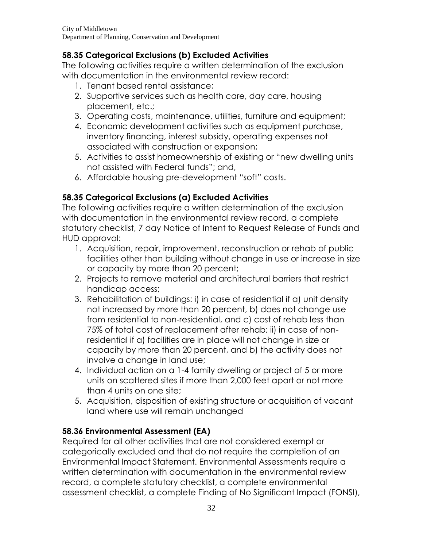# **58.35 Categorical Exclusions (b) Excluded Activities**

The following activities require a written determination of the exclusion with documentation in the environmental review record:

- 1. Tenant based rental assistance;
- 2. Supportive services such as health care, day care, housing placement, etc.;
- 3. Operating costs, maintenance, utilities, furniture and equipment;
- 4. Economic development activities such as equipment purchase, inventory financing, interest subsidy, operating expenses not associated with construction or expansion;
- 5. Activities to assist homeownership of existing or "new dwelling units not assisted with Federal funds"; and,
- 6. Affordable housing pre-development "soft" costs.

# **58.35 Categorical Exclusions (a) Excluded Activities**

The following activities require a written determination of the exclusion with documentation in the environmental review record, a complete statutory checklist, 7 day Notice of Intent to Request Release of Funds and HUD approval:

- 1. Acquisition, repair, improvement, reconstruction or rehab of public facilities other than building without change in use or increase in size or capacity by more than 20 percent;
- 2. Projects to remove material and architectural barriers that restrict handicap access;
- 3. Rehabilitation of buildings: i) in case of residential if a) unit density not increased by more than 20 percent, b) does not change use from residential to non-residential, and c) cost of rehab less than 75% of total cost of replacement after rehab; ii) in case of nonresidential if a) facilities are in place will not change in size or capacity by more than 20 percent, and b) the activity does not involve a change in land use;
- 4. Individual action on a 1-4 family dwelling or project of 5 or more units on scattered sites if more than 2,000 feet apart or not more than 4 units on one site;
- 5. Acquisition, disposition of existing structure or acquisition of vacant land where use will remain unchanged

# **58.36 Environmental Assessment (EA)**

Required for all other activities that are not considered exempt or categorically excluded and that do not require the completion of an Environmental Impact Statement. Environmental Assessments require a written determination with documentation in the environmental review record, a complete statutory checklist, a complete environmental assessment checklist, a complete Finding of No Significant Impact (FONSI),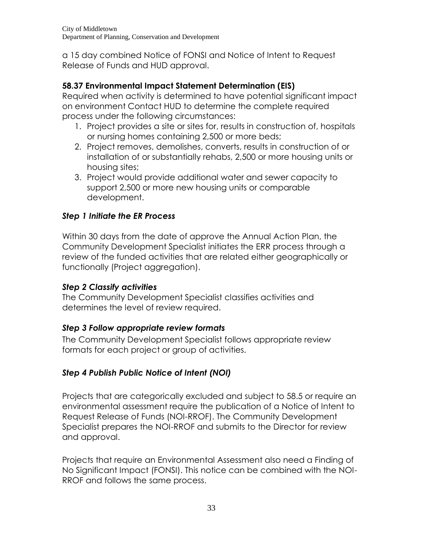a 15 day combined Notice of FONSI and Notice of Intent to Request Release of Funds and HUD approval.

# **58.37 Environmental Impact Statement Determination (EIS)**

Required when activity is determined to have potential significant impact on environment Contact HUD to determine the complete required process under the following circumstances:

- 1. Project provides a site or sites for, results in construction of, hospitals or nursing homes containing 2,500 or more beds;
- 2. Project removes, demolishes, converts, results in construction of or installation of or substantially rehabs, 2,500 or more housing units or housing sites;
- 3. Project would provide additional water and sewer capacity to support 2,500 or more new housing units or comparable development.

# *Step 1 Initiate the ER Process*

Within 30 days from the date of approve the Annual Action Plan, the Community Development Specialist initiates the ERR process through a review of the funded activities that are related either geographically or functionally (Project aggregation).

# *Step 2 Classify activities*

The Community Development Specialist classifies activities and determines the level of review required.

# *Step 3 Follow appropriate review formats*

The Community Development Specialist follows appropriate review formats for each project or group of activities.

# *Step 4 Publish Public Notice of Intent (NOI)*

Projects that are categorically excluded and subject to 58.5 or require an environmental assessment require the publication of a Notice of Intent to Request Release of Funds (NOI-RROF). The Community Development Specialist prepares the NOI-RROF and submits to the Director for review and approval.

Projects that require an Environmental Assessment also need a Finding of No Significant Impact (FONSI). This notice can be combined with the NOI-RROF and follows the same process.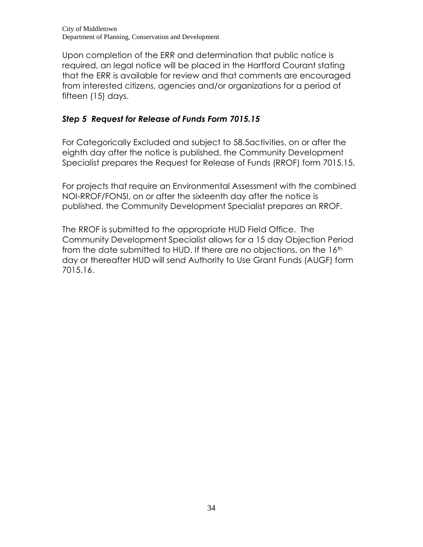Upon completion of the ERR and determination that public notice is required, an legal notice will be placed in the Hartford Courant stating that the ERR is available for review and that comments are encouraged from interested citizens, agencies and/or organizations for a period of fifteen (15) days.

# *Step 5 Request for Release of Funds Form 7015.15*

For Categorically Excluded and subject to 58.5activities, on or after the eighth day after the notice is published, the Community Development Specialist prepares the Request for Release of Funds (RROF) form 7015.15.

For projects that require an Environmental Assessment with the combined NOI-RROF/FONSI, on or after the sixteenth day after the notice is published, the Community Development Specialist prepares an RROF.

The RROF is submitted to the appropriate HUD Field Office. The Community Development Specialist allows for a 15 day Objection Period from the date submitted to HUD. If there are no objections, on the 16<sup>th</sup> day or thereafter HUD will send Authority to Use Grant Funds (AUGF) form 7015.16.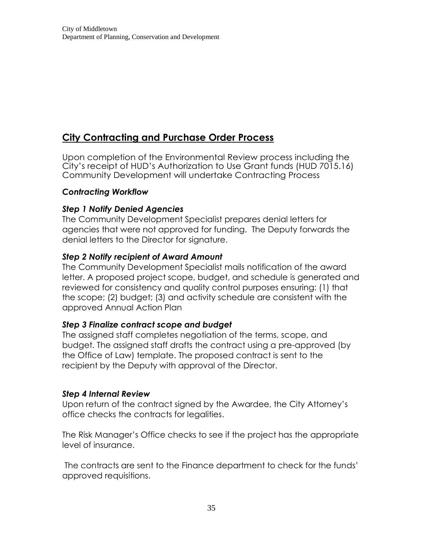# **City Contracting and Purchase Order Process**

Upon completion of the Environmental Review process including the City's receipt of HUD's Authorization to Use Grant funds (HUD 7015.16) Community Development will undertake Contracting Process

#### *Contracting Workflow*

#### *Step 1 Notify Denied Agencies*

The Community Development Specialist prepares denial letters for agencies that were not approved for funding. The Deputy forwards the denial letters to the Director for signature.

#### *Step 2 Notify recipient of Award Amount*

The Community Development Specialist mails notification of the award letter. A proposed project scope, budget, and schedule is generated and reviewed for consistency and quality control purposes ensuring: (1) that the scope; (2) budget; (3) and activity schedule are consistent with the approved Annual Action Plan

#### *Step 3 Finalize contract scope and budget*

The assigned staff completes negotiation of the terms, scope, and budget. The assigned staff drafts the contract using a pre-approved (by the Office of Law) template. The proposed contract is sent to the recipient by the Deputy with approval of the Director.

#### *Step 4 Internal Review*

Upon return of the contract signed by the Awardee, the City Attorney's office checks the contracts for legalities.

The Risk Manager's Office checks to see if the project has the appropriate level of insurance.

The contracts are sent to the Finance department to check for the funds' approved requisitions.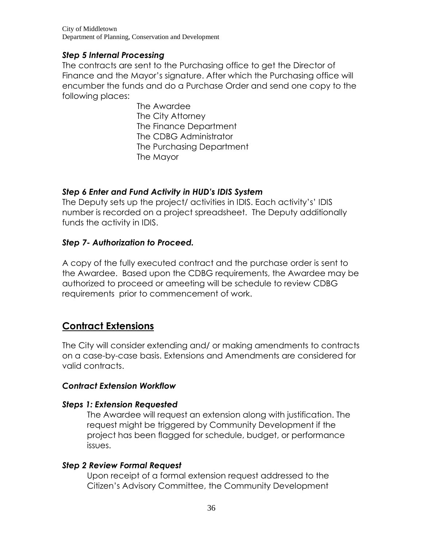City of Middletown Department of Planning, Conservation and Development

#### *Step 5 Internal Processing*

The contracts are sent to the Purchasing office to get the Director of Finance and the Mayor's signature. After which the Purchasing office will encumber the funds and do a Purchase Order and send one copy to the following places:

> The Awardee The City Attorney The Finance Department The CDBG Administrator The Purchasing Department The Mayor

#### *Step 6 Enter and Fund Activity in HUD's IDIS System*

The Deputy sets up the project/ activities in IDIS. Each activity's' IDIS number is recorded on a project spreadsheet. The Deputy additionally funds the activity in IDIS.

#### *Step 7- Authorization to Proceed.*

A copy of the fully executed contract and the purchase order is sent to the Awardee. Based upon the CDBG requirements, the Awardee may be authorized to proceed or ameeting will be schedule to review CDBG requirements prior to commencement of work.

# **Contract Extensions**

The City will consider extending and/ or making amendments to contracts on a case-by-case basis. Extensions and Amendments are considered for valid contracts.

#### *Contract Extension Workflow*

#### *Steps 1: Extension Requested*

The Awardee will request an extension along with justification. The request might be triggered by Community Development if the project has been flagged for schedule, budget, or performance issues.

#### *Step 2 Review Formal Request*

Upon receipt of a formal extension request addressed to the Citizen's Advisory Committee, the Community Development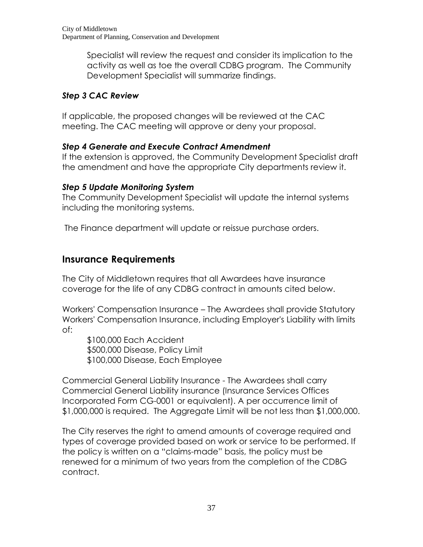Specialist will review the request and consider its implication to the activity as well as toe the overall CDBG program. The Community Development Specialist will summarize findings.

# *Step 3 CAC Review*

If applicable, the proposed changes will be reviewed at the CAC meeting. The CAC meeting will approve or deny your proposal.

# *Step 4 Generate and Execute Contract Amendment*

If the extension is approved, the Community Development Specialist draft the amendment and have the appropriate City departments review it.

# *Step 5 Update Monitoring System*

The Community Development Specialist will update the internal systems including the monitoring systems.

The Finance department will update or reissue purchase orders.

# **Insurance Requirements**

The City of Middletown requires that all Awardees have insurance coverage for the life of any CDBG contract in amounts cited below.

Workers' Compensation Insurance – The Awardees shall provide Statutory Workers' Compensation Insurance, including Employer's Liability with limits of:

\$100,000 Each Accident \$500,000 Disease, Policy Limit \$100,000 Disease, Each Employee

Commercial General Liability Insurance - The Awardees shall carry Commercial General Liability insurance (Insurance Services Offices Incorporated Form CG-0001 or equivalent). A per occurrence limit of \$1,000,000 is required. The Aggregate Limit will be not less than \$1,000,000.

The City reserves the right to amend amounts of coverage required and types of coverage provided based on work or service to be performed. If the policy is written on a "claims-made" basis, the policy must be renewed for a minimum of two years from the completion of the CDBG contract.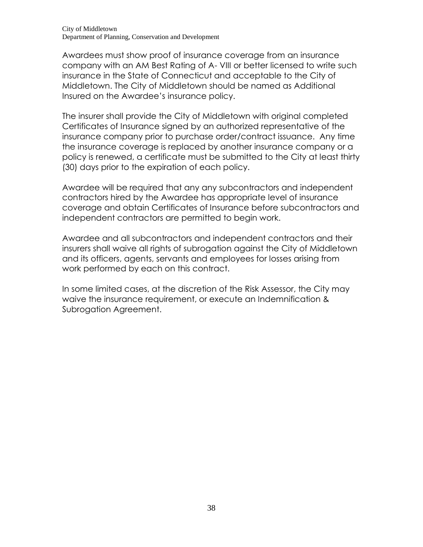Awardees must show proof of insurance coverage from an insurance company with an AM Best Rating of A- VIII or better licensed to write such insurance in the State of Connecticut and acceptable to the City of Middletown. The City of Middletown should be named as Additional Insured on the Awardee's insurance policy.

The insurer shall provide the City of Middletown with original completed Certificates of Insurance signed by an authorized representative of the insurance company prior to purchase order/contract issuance. Any time the insurance coverage is replaced by another insurance company or a policy is renewed, a certificate must be submitted to the City at least thirty (30) days prior to the expiration of each policy.

Awardee will be required that any any subcontractors and independent contractors hired by the Awardee has appropriate level of insurance coverage and obtain Certificates of Insurance before subcontractors and independent contractors are permitted to begin work.

Awardee and all subcontractors and independent contractors and their insurers shall waive all rights of subrogation against the City of Middletown and its officers, agents, servants and employees for losses arising from work performed by each on this contract.

In some limited cases, at the discretion of the Risk Assessor, the City may waive the insurance requirement, or execute an Indemnification & Subrogation Agreement.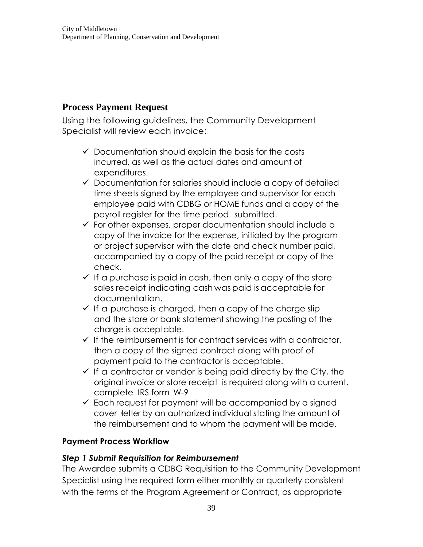# **Process Payment Request**

Using the following guidelines, the Community Development Specialist will review each invoice:

- $\checkmark$  Documentation should explain the basis for the costs incurred, as well as the actual dates and amount of expenditures.
- $\checkmark$  Documentation for salaries should include a copy of detailed time sheets signed by the employee and supervisor for each employee paid with CDBG or HOME funds and a copy of the payroll register for the time period submitted.
- $\checkmark$  For other expenses, proper documentation should include a copy of the invoice for the expense, initialed by the program or project supervisor with the date and check number paid, accompanied by a copy of the paid receipt or copy of the check.
- $\checkmark$  If a purchase is paid in cash, then only a copy of the store sales receipt indicating cash was paid isacceptable for documentation.
- $\checkmark$  If a purchase is charged, then a copy of the charge slip and the store or bank statement showing the posting of the charge is acceptable.
- $\checkmark$  If the reimbursement is for contract services with a contractor, then a copy of the signed contract along with proof of payment paid to the contractor is acceptable.
- $\checkmark$  If a contractor or vendor is being paid directly by the City, the original invoice or store receipt is required along with a current, complete IRS form W-9
- $\checkmark$  Each request for payment will be accompanied by a signed cover ·letter by an authorized individual stating the amount of the reimbursement and to whom the payment will be made.

#### **Payment Process Workflow**

#### *Step 1 Submit Requisition for Reimbursement*

The Awardee submits a CDBG Requisition to the Community Development Specialist using the required form either monthly or quarterly consistent with the terms of the Program Agreement or Contract, as appropriate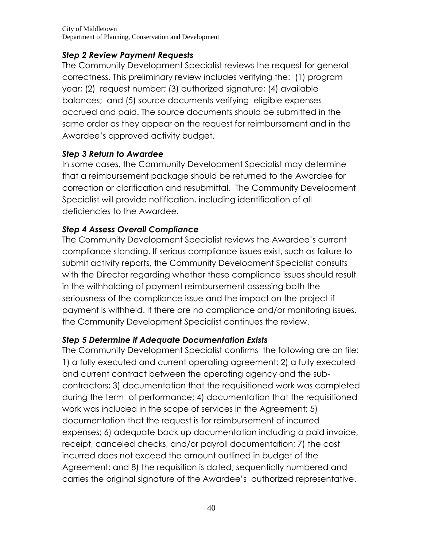# *Step 2 Review Payment Requests*

The Community Development Specialist reviews the request for general correctness. This preliminary review includes verifying the: (1) program year; (2) request number; (3) authorized signature; (4) available balances; and (5) source documents verifying eligible expenses accrued and paid. The source documents should be submitted in the same order as they appear on the request for reimbursement and in the Awardee's approved activity budget.

# *Step 3 Return to Awardee*

In some cases, the Community Development Specialist may determine that a reimbursement package should be returned to the Awardee for correction or clarification and resubmittal. The Community Development Specialist will provide notification, including identification of all deficiencies to the Awardee.

# *Step 4 Assess Overall Compliance*

The Community Development Specialist reviews the Awardee's current compliance standing. If serious compliance issues exist, such as failure to submit activity reports, the Community Development Specialist consults with the Director regarding whether these compliance issues should result in the withholding of payment reimbursement assessing both the seriousness of the compliance issue and the impact on the project if payment is withheld. If there are no compliance and/or monitoring issues, the Community Development Specialist continues the review.

# *Step 5 Determine if Adequate Documentation Exists*

The Community Development Specialist confirms the following are on file: 1) a fully executed and current operating agreement; 2) a fully executed and current contract between the operating agency and the subcontractors; 3) documentation that the requisitioned work was completed during the term of performance; 4) documentation that the requisitioned work was included in the scope of services in the Agreement; 5) documentation that the request is for reimbursement of incurred expenses; 6) adequate back up documentation including a paid invoice, receipt, canceled checks, and/or payroll documentation; 7) the cost incurred does not exceed the amount outlined in budget of the Agreement; and 8) the requisition is dated, sequentially numbered and carries the original signature of the Awardee's authorized representative.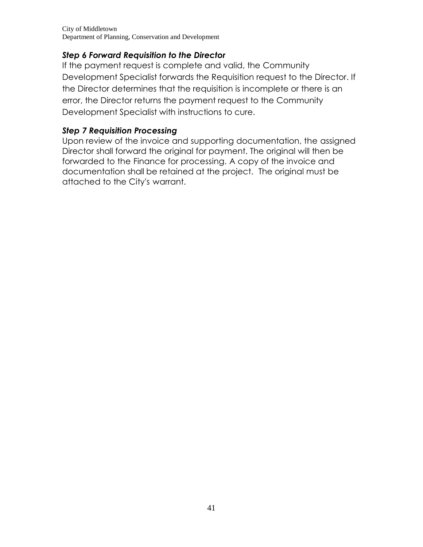City of Middletown Department of Planning, Conservation and Development

#### *Step 6 Forward Requisition to the Director*

If the payment request is complete and valid, the Community Development Specialist forwards the Requisition request to the Director. If the Director determines that the requisition is incomplete or there is an error, the Director returns the payment request to the Community Development Specialist with instructions to cure.

#### *Step 7 Requisition Processing*

Upon review of the invoice and supporting documentation, the assigned Director shall forward the original for payment. The original will then be forwarded to the Finance for processing. A copy of the invoice and documentation shall be retained at the project. The original must be attached to the City's warrant.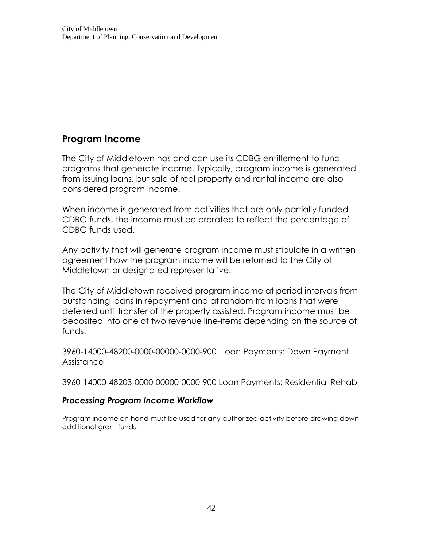# **Program Income**

The City of Middletown has and can use its CDBG entitlement to fund programs that generate income. Typically, program income is generated from issuing loans, but sale of real property and rental income are also considered program income.

When income is generated from activities that are only partially funded CDBG funds, the income must be prorated to reflect the percentage of CDBG funds used.

Any activity that will generate program income must stipulate in a written agreement how the program income will be returned to the City of Middletown or designated representative.

The City of Middletown received program income at period intervals from outstanding loans in repayment and at random from loans that were deferred until transfer of the property assisted. Program income must be deposited into one of two revenue line-items depending on the source of funds:

3960-14000-48200-0000-00000-0000-900 Loan Payments: Down Payment Assistance

3960-14000-48203-0000-00000-0000-900 Loan Payments: Residential Rehab

#### *Processing Program Income Workflow*

Program income on hand must be used for any authorized activity before drawing down additional grant funds.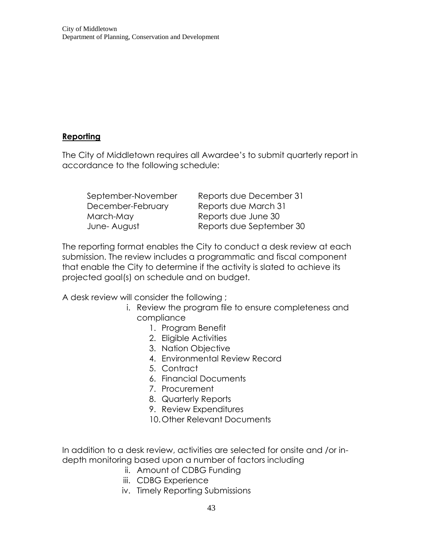#### **Reporting**

The City of Middletown requires all Awardee's to submit quarterly report in accordance to the following schedule:

| September-November | Reports due December 31  |
|--------------------|--------------------------|
| December-February  | Reports due March 31     |
| March-May          | Reports due June 30      |
| June-August        | Reports due September 30 |

The reporting format enables the City to conduct a desk review at each submission. The review includes a programmatic and fiscal component that enable the City to determine if the activity is slated to achieve its projected goal(s) on schedule and on budget.

A desk review will consider the following ;

- i. Review the program file to ensure completeness and compliance
	- 1. Program Benefit
	- 2. Eligible Activities
	- 3. Nation Objective
	- 4. Environmental Review Record
	- 5. Contract
	- 6. Financial Documents
	- 7. Procurement
	- 8. Quarterly Reports
	- 9. Review Expenditures
	- 10.Other Relevant Documents

In addition to a desk review, activities are selected for onsite and /or indepth monitoring based upon a number of factors including

- ii. Amount of CDBG Funding
- iii. CDBG Experience
- iv. Timely Reporting Submissions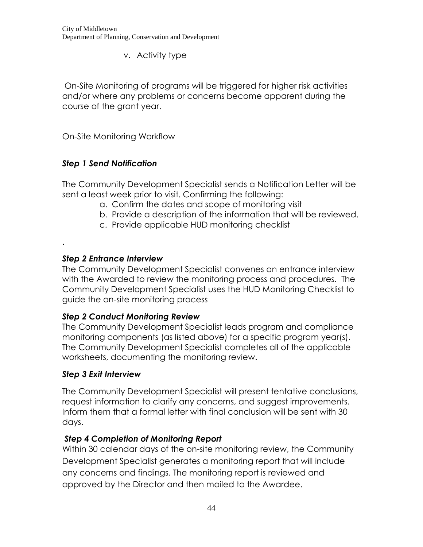v. Activity type

On-Site Monitoring of programs will be triggered for higher risk activities and/or where any problems or concerns become apparent during the course of the grant year.

On-Site Monitoring Workflow

# *Step 1 Send Notification*

The Community Development Specialist sends a Notification Letter will be sent a least week prior to visit. Confirming the following:

- a. Confirm the dates and scope of monitoring visit
- b. Provide a description of the information that will be reviewed.
- c. Provide applicable HUD monitoring checklist

#### *Step 2 Entrance Interview*

.

The Community Development Specialist convenes an entrance interview with the Awarded to review the monitoring process and procedures. The Community Development Specialist uses the HUD Monitoring Checklist to guide the on-site monitoring process

# *Step 2 Conduct Monitoring Review*

The Community Development Specialist leads program and compliance monitoring components (as listed above) for a specific program year(s). The Community Development Specialist completes all of the applicable worksheets, documenting the monitoring review.

#### *Step 3 Exit Interview*

The Community Development Specialist will present tentative conclusions, request information to clarify any concerns, and suggest improvements. Inform them that a formal letter with final conclusion will be sent with 30 days.

# *Step 4 Completion of Monitoring Report*

Within 30 calendar days of the on-site monitoring review, the Community Development Specialist generates a monitoring report that will include any concerns and findings. The monitoring report is reviewed and approved by the Director and then mailed to the Awardee.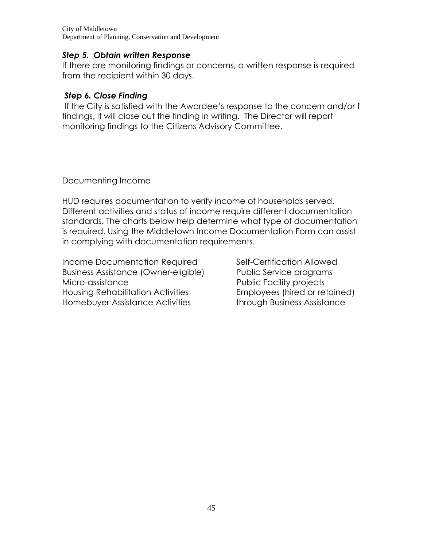City of Middletown Department of Planning, Conservation and Development

#### *Step 5. Obtain written Response*

If there are monitoring findings or concerns, a written response is required from the recipient within 30 days.

#### *Step 6. Close Finding*

If the City is satisfied with the Awardee's response to the concern and/or f findings, it will close out the finding in writing. The Director will report monitoring findings to the Citizens Advisory Committee.

Documenting Income

HUD requires documentation to verify income of households served. Different activities and status of income require different documentation standards. The charts below help determine what type of documentation is required. Using the Middletown Income Documentation Form can assist in complying with documentation requirements.

| Income Documentation Required        | Self-Certification Allowed      |
|--------------------------------------|---------------------------------|
| Business Assistance (Owner-eligible) | Public Service programs         |
| Micro-assistance                     | <b>Public Facility projects</b> |
| Housing Rehabilitation Activities    | Employees (hired or retained)   |
| Homebuyer Assistance Activities      | through Business Assistance     |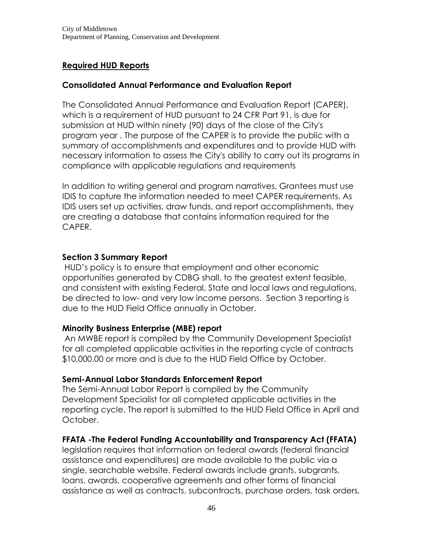# **Required HUD Reports**

#### **Consolidated Annual Performance and Evaluation Report**

The Consolidated Annual Performance and Evaluation Report (CAPER), which is a requirement of HUD pursuant to 24 CFR Part 91, is due for submission at HUD within ninety (90) days of the close of the City's program year . The purpose of the CAPER is to provide the public with a summary of accomplishments and expenditures and to provide HUD with necessary information to assess the City's ability to carry out its programs in compliance with applicable regulations and requirements

In addition to writing general and program narratives, Grantees must use IDIS to capture the information needed to meet CAPER requirements. As IDIS users set up activities, draw funds, and report accomplishments, they are creating a database that contains information required for the CAPER.

#### **Section 3 Summary Report**

HUD's policy is to ensure that employment and other economic opportunities generated by CDBG shall, to the greatest extent feasible, and consistent with existing Federal, State and local laws and regulations, be directed to low- and very low income persons. Section 3 reporting is due to the HUD Field Office annually in October.

#### **Minority Business Enterprise (MBE) report**

An MWBE report is compiled by the Community Development Specialist for all completed applicable activities in the reporting cycle of contracts \$10,000.00 or more and is due to the HUD Field Office by October.

#### **Semi-Annual Labor Standards Enforcement Report**

The Semi-Annual Labor Report is compiled by the Community Development Specialist for all completed applicable activities in the reporting cycle. The report is submitted to the HUD Field Office in April and October.

#### **FFATA -The [Federal Funding Accountability and Transparency Act \(FFATA\)](http://frwebgate.access.gpo.gov/cgi-bin/getdoc.cgi?dbname=109_cong_bills&docid=f:s2590enr.txt.pdf)**

legislation requires that information on federal awards (federal financial assistance and expenditures) are made available to the public via a single, searchable website. Federal awards include grants, subgrants, loans, awards, cooperative agreements and other forms of financial assistance as well as contracts, subcontracts, purchase orders, task orders,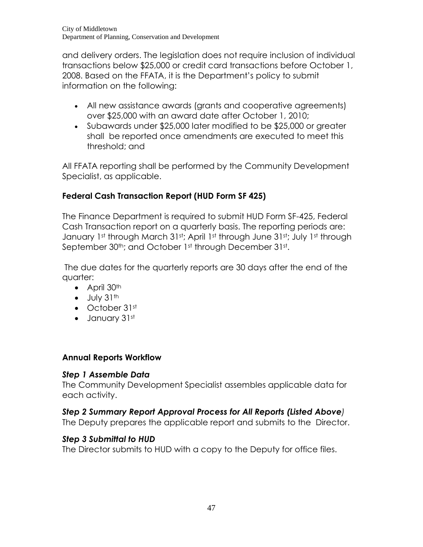and delivery orders. The legislation does not require inclusion of individual transactions below \$25,000 or credit card transactions before October 1, 2008. Based on the FFATA, it is the Department's policy to submit information on the following:

- All new assistance awards (grants and cooperative agreements) over \$25,000 with an award date after October 1, 2010;
- Subawards under \$25,000 later modified to be \$25,000 or greater shall be reported once amendments are executed to meet this threshold; and

All FFATA reporting shall be performed by the Community Development Specialist, as applicable.

# **Federal Cash Transaction Report (HUD Form SF 425)**

The Finance Department is required to submit HUD Form SF-425, Federal Cash Transaction report on a quarterly basis. The reporting periods are: January 1st through March 31st; April 1st through June 31st; July 1st through September 30<sup>th</sup>; and October 1st through December 31st.

The due dates for the quarterly reports are 30 days after the end of the quarter:

- $\bullet$  April 30<sup>th</sup>
- $\bullet$  July 31<sup>th</sup>
- October 31st
- January 31st

# **Annual Reports Workflow**

# *Step 1 Assemble Data*

The Community Development Specialist assembles applicable data for each activity.

# *Step 2 Summary Report Approval Process for All Reports (Listed Above)*

The Deputy prepares the applicable report and submits to the Director.

# *Step 3 Submittal to HUD*

The Director submits to HUD with a copy to the Deputy for office files.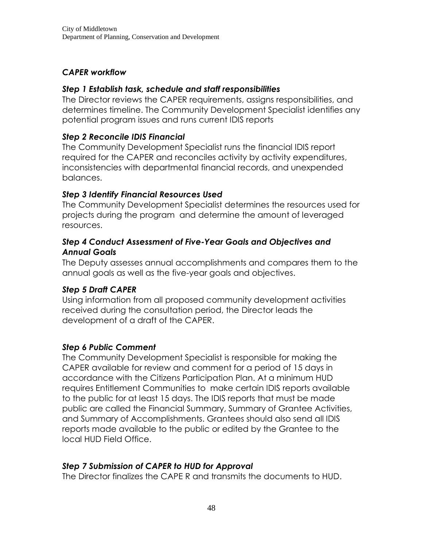#### *CAPER workflow*

#### *Step 1 Establish task, schedule and staff responsibilities*

The Director reviews the CAPER requirements, assigns responsibilities, and determines timeline. The Community Development Specialist identifies any potential program issues and runs current IDIS reports

#### *Step 2 Reconcile IDIS Financial*

The Community Development Specialist runs the financial IDIS report required for the CAPER and reconciles activity by activity expenditures, inconsistencies with departmental financial records, and unexpended balances.

#### *Step 3 Identify Financial Resources Used*

The Community Development Specialist determines the resources used for projects during the program and determine the amount of leveraged resources.

#### *Step 4 Conduct Assessment of Five-Year Goals and Objectives and Annual Goals*

The Deputy assesses annual accomplishments and compares them to the annual goals as well as the five-year goals and objectives.

#### *Step 5 Draft CAPER*

Using information from all proposed community development activities received during the consultation period, the Director leads the development of a draft of the CAPER.

#### *Step 6 Public Comment*

The Community Development Specialist is responsible for making the CAPER available for review and comment for a period of 15 days in accordance with the Citizens Participation Plan. At a minimum HUD requires Entitlement Communities to make certain IDIS reports available to the public for at least 15 days. The IDIS reports that must be made public are called the Financial Summary, Summary of Grantee Activities, and Summary of Accomplishments. Grantees should also send all IDIS reports made available to the public or edited by the Grantee to the local HUD Field Office.

#### *Step 7 Submission of CAPER to HUD for Approval*

The Director finalizes the CAPE R and transmits the documents to HUD.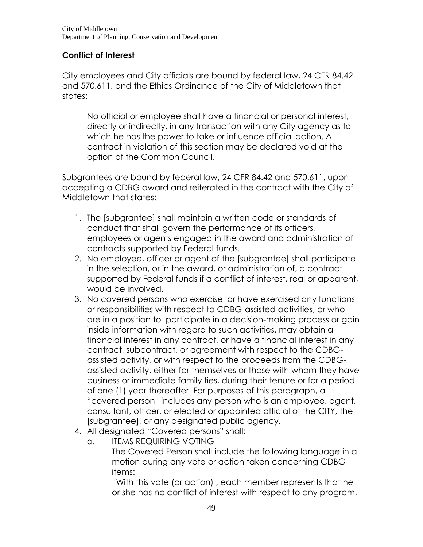# **Conflict of Interest**

City employees and City officials are bound by federal law, 24 CFR 84.42 and 570.611, and the Ethics Ordinance of the City of Middletown that states:

No official or employee shall have a financial or personal interest, directly or indirectly, in any transaction with any City agency as to which he has the power to take or influence official action. A contract in violation of this section may be declared void at the option of the Common Council.

Subgrantees are bound by federal law, 24 CFR 84.42 and 570.611, upon accepting a CDBG award and reiterated in the contract with the City of Middletown that states:

- 1. The [subgrantee] shall maintain a written code or standards of conduct that shall govern the performance of its officers, employees or agents engaged in the award and administration of contracts supported by Federal funds.
- 2. No employee, officer or agent of the [subgrantee] shall participate in the selection, or in the award, or administration of, a contract supported by Federal funds if a conflict of interest, real or apparent, would be involved.
- 3. No covered persons who exercise or have exercised any functions or responsibilities with respect to CDBG-assisted activities, or who are in a position to participate in a decision-making process or gain inside information with regard to such activities, may obtain a financial interest in any contract, or have a financial interest in any contract, subcontract, or agreement with respect to the CDBGassisted activity, or with respect to the proceeds from the CDBGassisted activity, either for themselves or those with whom they have business or immediate family ties, during their tenure or for a period of one (1) year thereafter. For purposes of this paragraph, a "covered person" includes any person who is an employee, agent, consultant, officer, or elected or appointed official of the CITY, the [subgrantee], or any designated public agency.
- 4. All designated "Covered persons" shall:
	- a. ITEMS REQUIRING VOTING

The Covered Person shall include the following language in a motion during any vote or action taken concerning CDBG items:

"With this vote (or action) , each member represents that he or she has no conflict of interest with respect to any program,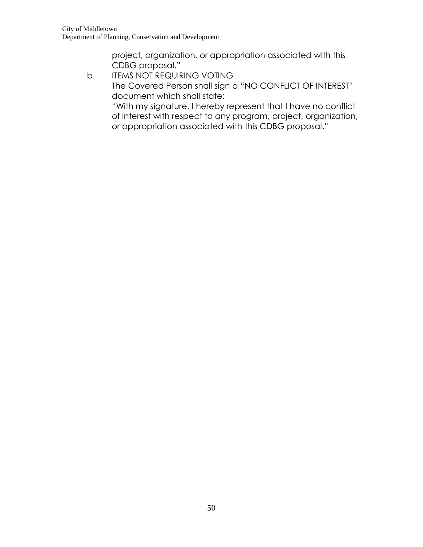project, organization, or appropriation associated with this CDBG proposal."

b. ITEMS NOT REQUIRING VOTING The Covered Person shall sign a "NO CONFLICT OF INTEREST" document which shall state: "With my signature, I hereby represent that I have no conflict of interest with respect to any program, project, organization, or appropriation associated with this CDBG proposal."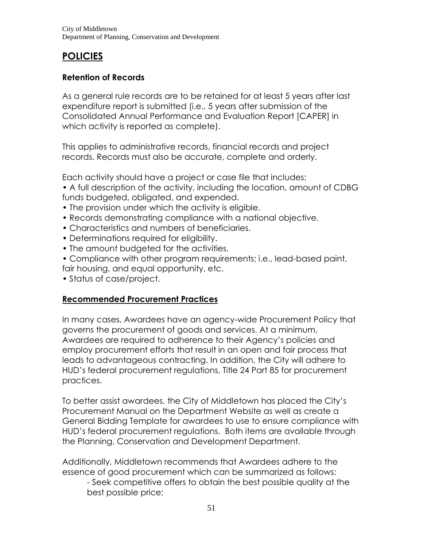# **POLICIES**

# **Retention of Records**

As a general rule records are to be retained for at least 5 years after last expenditure report is submitted (i.e., 5 years after submission of the Consolidated Annual Performance and Evaluation Report [CAPER] in which activity is reported as complete).

This applies to administrative records, financial records and project records. Records must also be accurate, complete and orderly.

Each activity should have a project or case file that includes:

• A full description of the activity, including the location, amount of CDBG funds budgeted, obligated, and expended.

- The provision under which the activity is eligible.
- Records demonstrating compliance with a national objective.
- Characteristics and numbers of beneficiaries.
- Determinations required for eligibility.
- The amount budgeted for the activities.
- Compliance with other program requirements; i.e., lead-based paint, fair housing, and equal opportunity, etc.
- Status of case/project.

# **Recommended Procurement Practices**

In many cases, Awardees have an agency-wide Procurement Policy that governs the procurement of goods and services. At a minimum, Awardees are required to adherence to their Agency's policies and employ procurement efforts that result in an open and fair process that leads to advantageous contracting. In addition, the City will adhere to HUD's federal procurement regulations, Title 24 Part 85 for procurement practices.

To better assist awardees, the City of Middletown has placed the City's Procurement Manual on the Department Website as well as create a General Bidding Template for awardees to use to ensure compliance with HUD's federal procurement regulations. Both items are available through the Planning, Conservation and Development Department.

Additionally, Middletown recommends that Awardees adhere to the essence of good procurement which can be summarized as follows:

- Seek competitive offers to obtain the best possible quality at the best possible price;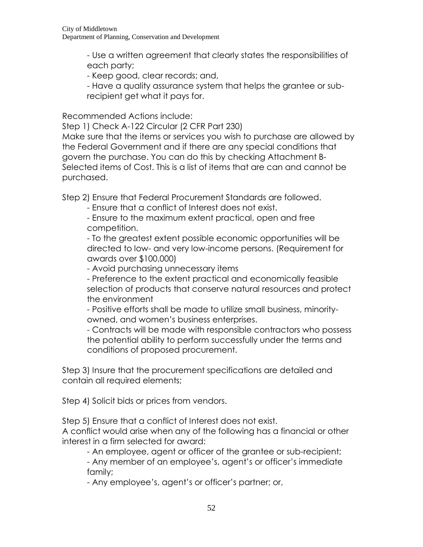- Use a written agreement that clearly states the responsibilities of each party;

- Keep good, clear records; and,

- Have a quality assurance system that helps the grantee or subrecipient get what it pays for.

Recommended Actions include:

Step 1) Check A-122 Circular (2 CFR Part 230)

Make sure that the items or services you wish to purchase are allowed by the Federal Government and if there are any special conditions that govern the purchase. You can do this by checking Attachment B-Selected items of Cost. This is a list of items that are can and cannot be purchased.

Step 2) Ensure that Federal Procurement Standards are followed.

- Ensure that a conflict of Interest does not exist.

- Ensure to the maximum extent practical, open and free competition.

- To the greatest extent possible economic opportunities will be directed to low- and very low-income persons. (Requirement for awards over \$100,000)

- Avoid purchasing unnecessary items

- Preference to the extent practical and economically feasible selection of products that conserve natural resources and protect the environment

- Positive efforts shall be made to utilize small business, minorityowned, and women's business enterprises.

- Contracts will be made with responsible contractors who possess the potential ability to perform successfully under the terms and conditions of proposed procurement.

Step 3) Insure that the procurement specifications are detailed and contain all required elements;

Step 4) Solicit bids or prices from vendors.

Step 5) Ensure that a conflict of Interest does not exist.

A conflict would arise when any of the following has a financial or other interest in a firm selected for award:

- An employee, agent or officer of the grantee or sub-recipient;

- Any member of an employee's, agent's or officer's immediate family;

- Any employee's, agent's or officer's partner; or,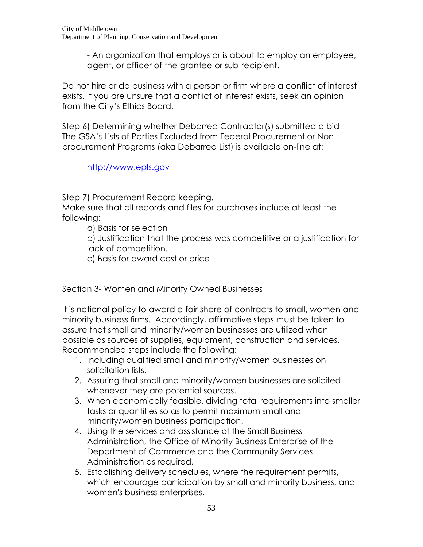- An organization that employs or is about to employ an employee, agent, or officer of the grantee or sub-recipient.

Do not hire or do business with a person or firm where a conflict of interest exists. If you are unsure that a conflict of interest exists, seek an opinion from the City's Ethics Board.

Step 6) Determining whether Debarred Contractor(s) submitted a bid The GSA's Lists of Parties Excluded from Federal Procurement or Nonprocurement Programs (aka Debarred List) is available on-line at:

[http://www.epls.gov](http://www.epls.gov/)

Step 7) Procurement Record keeping.

Make sure that all records and files for purchases include at least the following:

a) Basis for selection

b) Justification that the process was competitive or a justification for lack of competition.

c) Basis for award cost or price

Section 3- Women and Minority Owned Businesses

It is national policy to award a fair share of contracts to small, women and minority business firms. Accordingly, affirmative steps must be taken to assure that small and minority/women businesses are utilized when possible as sources of supplies, equipment, construction and services. Recommended steps include the following:

- 1. Including qualified small and minority/women businesses on solicitation lists.
- 2. Assuring that small and minority/women businesses are solicited whenever they are potential sources.
- 3. When economically feasible, dividing total requirements into smaller tasks or quantities so as to permit maximum small and minority/women business participation.
- 4. Using the services and assistance of the Small Business Administration, the Office of Minority Business Enterprise of the Department of Commerce and the Community Services Administration as required.
- 5. Establishing delivery schedules, where the requirement permits, which encourage participation by small and minority business, and women's business enterprises.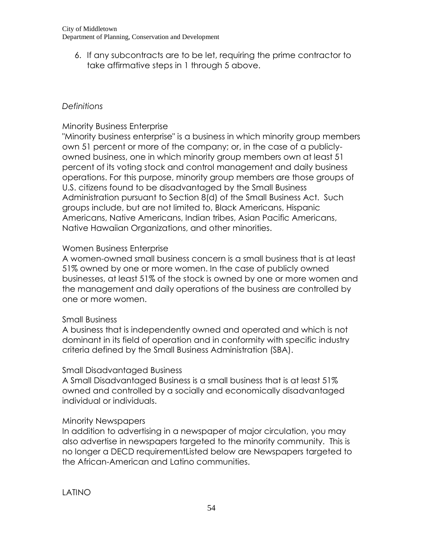6. If any subcontracts are to be let, requiring the prime contractor to take affirmative steps in 1 through 5 above.

# *Definitions*

# Minority Business Enterprise

"Minority business enterprise" is a business in which minority group members own 51 percent or more of the company; or, in the case of a publiclyowned business, one in which minority group members own at least 51 percent of its voting stock and control management and daily business operations. For this purpose, minority group members are those groups of U.S. citizens found to be disadvantaged by the Small Business Administration pursuant to Section 8(d) of the Small Business Act. Such groups include, but are not limited to, Black Americans, Hispanic Americans, Native Americans, Indian tribes, Asian Pacific Americans, Native Hawaiian Organizations, and other minorities.

#### Women Business Enterprise

A women-owned small business concern is a small business that is at least 51% owned by one or more women. In the case of publicly owned businesses, at least 51% of the stock is owned by one or more women and the management and daily operations of the business are controlled by one or more women.

#### Small Business

A business that is independently owned and operated and which is not dominant in its field of operation and in conformity with specific industry criteria defined by the Small Business Administration (SBA).

# Small Disadvantaged Business

A Small Disadvantaged Business is a small business that is at least 51% owned and controlled by a socially and economically disadvantaged individual or individuals.

# Minority Newspapers

In addition to advertising in a newspaper of major circulation, you may also advertise in newspapers targeted to the minority community. This is no longer a DECD requirementListed below are Newspapers targeted to the African-American and Latino communities.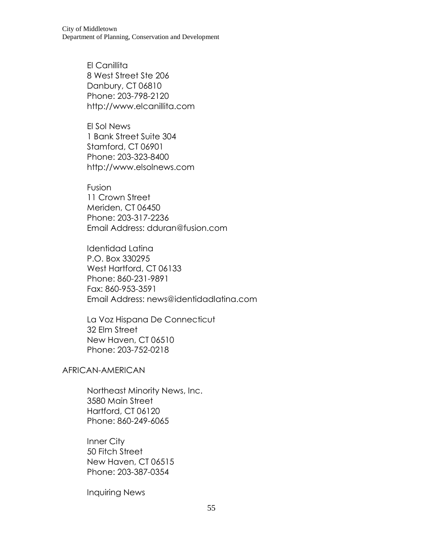City of Middletown Department of Planning, Conservation and Development

> El Canillita 8 West Street Ste 206 Danbury, CT 06810 Phone: 203-798-2120 http://www.elcanillita.com

> El Sol News 1 Bank Street Suite 304 Stamford, CT 06901 Phone: 203-323-8400 http://www.elsolnews.com

Fusion 11 Crown Street Meriden, CT 06450 Phone: 203-317-2236 Email Address: dduran@fusion.com

Identidad Latina P.O. Box 330295 West Hartford, CT 06133 Phone: 860-231-9891 Fax: 860-953-3591 Email Address: news@identidadlatina.com

La Voz Hispana De Connecticut 32 Elm Street New Haven, CT 06510 Phone: 203-752-0218

AFRICAN-AMERICAN

Northeast Minority News, Inc. 3580 Main Street Hartford, CT 06120 Phone: 860-249-6065

Inner City 50 Fitch Street New Haven, CT 06515 Phone: 203-387-0354

Inquiring News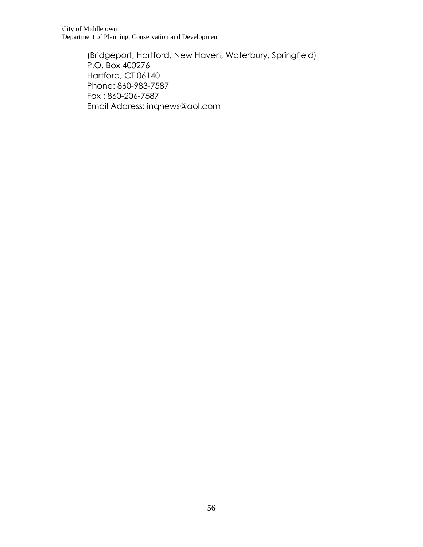City of Middletown Department of Planning, Conservation and Development

> (Bridgeport, Hartford, New Haven, Waterbury, Springfield) P.O. Box 400276 Hartford, CT 06140 Phone: 860-983-7587 Fax : 860-206-7587 Email Address: inqnews@aol.com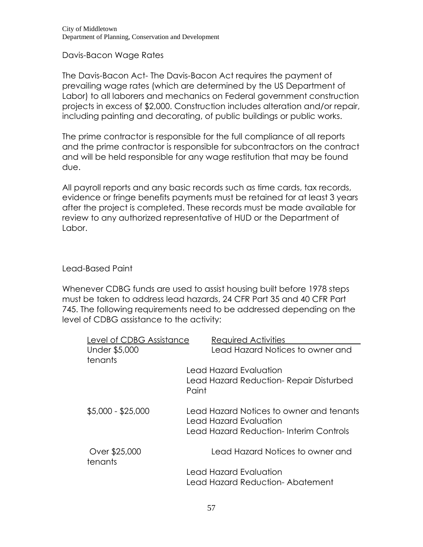Davis-Bacon Wage Rates

The Davis-Bacon Act- The Davis-Bacon Act requires the payment of prevailing wage rates (which are determined by the US Department of Labor) to all laborers and mechanics on Federal government construction projects in excess of \$2,000. Construction includes alteration and/or repair, including painting and decorating, of public buildings or public works.

The prime contractor is responsible for the full compliance of all reports and the prime contractor is responsible for subcontractors on the contract and will be held responsible for any wage restitution that may be found due.

All payroll reports and any basic records such as time cards, tax records, evidence or fringe benefits payments must be retained for at least 3 years after the project is completed. These records must be made available for review to any authorized representative of HUD or the Department of Labor.

#### Lead-Based Paint

Whenever CDBG funds are used to assist housing built before 1978 steps must be taken to address lead hazards, 24 CFR Part 35 and 40 CFR Part 745. The following requirements need to be addressed depending on the level of CDBG assistance to the activity:

| Level of CDBG Assistance | Required Activities                                                |
|--------------------------|--------------------------------------------------------------------|
| Under \$5,000            | Lead Hazard Notices to owner and                                   |
| tenants                  |                                                                    |
|                          | Lead Hazard Evaluation                                             |
|                          | Lead Hazard Reduction-Repair Disturbed<br>Paint                    |
| $$5,000 - $25,000$       | Lead Hazard Notices to owner and tenants<br>Lead Hazard Evaluation |
|                          | Lead Hazard Reduction-Interim Controls                             |
| Over \$25,000<br>tenants | Lead Hazard Notices to owner and                                   |
|                          | Lead Hazard Evaluation                                             |
|                          | Lead Hazard Reduction-Abatement                                    |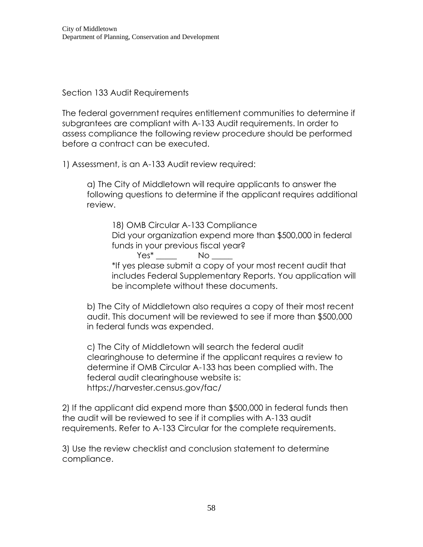Section 133 Audit Requirements

The federal government requires entitlement communities to determine if subgrantees are compliant with A-133 Audit requirements. In order to assess compliance the following review procedure should be performed before a contract can be executed.

1) Assessment, is an A-133 Audit review required:

a) The City of Middletown will require applicants to answer the following questions to determine if the applicant requires additional review.

18) OMB Circular A-133 Compliance Did your organization expend more than \$500,000 in federal funds in your previous fiscal year? Yes\* \_\_\_\_\_ No \_\_\_\_\_

\*If yes please submit a copy of your most recent audit that includes Federal Supplementary Reports. You application will be incomplete without these documents.

b) The City of Middletown also requires a copy of their most recent audit. This document will be reviewed to see if more than \$500,000 in federal funds was expended.

c) The City of Middletown will search the federal audit clearinghouse to determine if the applicant requires a review to determine if OMB Circular A-133 has been complied with. The federal audit clearinghouse website is: https://harvester.census.gov/fac/

2) If the applicant did expend more than \$500,000 in federal funds then the audit will be reviewed to see if it complies with A-133 audit requirements. Refer to A-133 Circular for the complete requirements.

3) Use the review checklist and conclusion statement to determine compliance.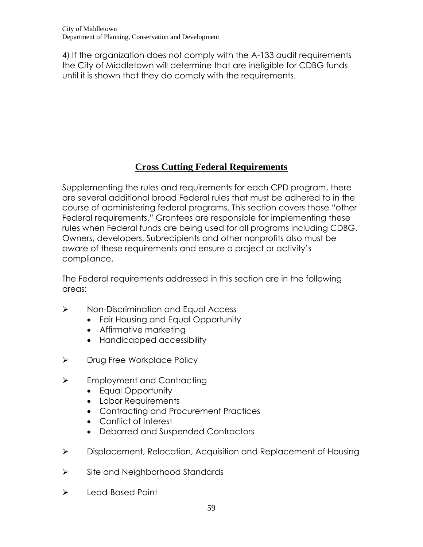4) If the organization does not comply with the A-133 audit requirements the City of Middletown will determine that are ineligible for CDBG funds until it is shown that they do comply with the requirements.

# **Cross Cutting Federal Requirements**

Supplementing the rules and requirements for each CPD program, there are several additional broad Federal rules that must be adhered to in the course of administering federal programs. This section covers those "other Federal requirements." Grantees are responsible for implementing these rules when Federal funds are being used for all programs including CDBG. Owners, developers, Subrecipients and other nonprofits also must be aware of these requirements and ensure a project or activity's compliance.

The Federal requirements addressed in this section are in the following areas:

- > Non-Discrimination and Equal Access
	- Fair Housing and Equal Opportunity
	- Affirmative marketing
	- Handicapped accessibility
- > Drug Free Workplace Policy
- $\triangleright$  Employment and Contracting
	- Equal Opportunity
	- Labor Requirements
	- Contracting and Procurement Practices
	- Conflict of Interest
	- Debarred and Suspended Contractors
- Displacement, Relocation, Acquisition and Replacement of Housing
- $\triangleright$  Site and Neighborhood Standards
- $\triangleright$  Lead-Based Paint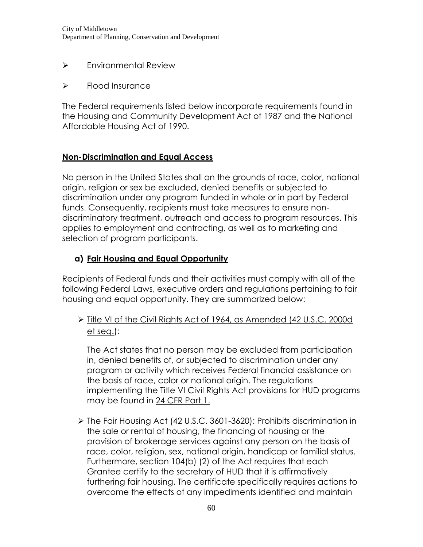- > Environmental Review
- $\triangleright$  Flood Insurance

The Federal requirements listed below incorporate requirements found in the Housing and Community Development Act of 1987 and the National Affordable Housing Act of 1990.

#### **Non-Discrimination and Equal Access**

No person in the United States shall on the grounds of race, color, national origin, religion or sex be excluded, denied benefits or subjected to discrimination under any program funded in whole or in part by Federal funds. Consequently, recipients must take measures to ensure nondiscriminatory treatment, outreach and access to program resources. This applies to employment and contracting, as well as to marketing and selection of program participants.

# **a) Fair Housing and Equal Opportunity**

Recipients of Federal funds and their activities must comply with all of the following Federal Laws, executive orders and regulations pertaining to fair housing and equal opportunity. They are summarized below:

 Title VI of the Civil Rights Act of 1964, as Amended (42 U.S.C. 2000d et seq.):

The Act states that no person may be excluded from participation in, denied benefits of, or subjected to discrimination under any program or activity which receives Federal financial assistance on the basis of race, color or national origin. The regulations implementing the Title VI Civil Rights Act provisions for HUD programs may be found in [24 CFR Part 1.](http://www.law.cornell.edu/cfr/text/24/part-1)

> The Fair Housing Act (42 U.S.C. 3601-3620): Prohibits discrimination in the sale or rental of housing, the financing of housing or the provision of brokerage services against any person on the basis of race, color, religion, sex, national origin, handicap or familial status. Furthermore, section 104(b) (2) of the Act requires that each Grantee certify to the secretary of HUD that it is affirmatively furthering fair housing. The certificate specifically requires actions to overcome the effects of any impediments identified and maintain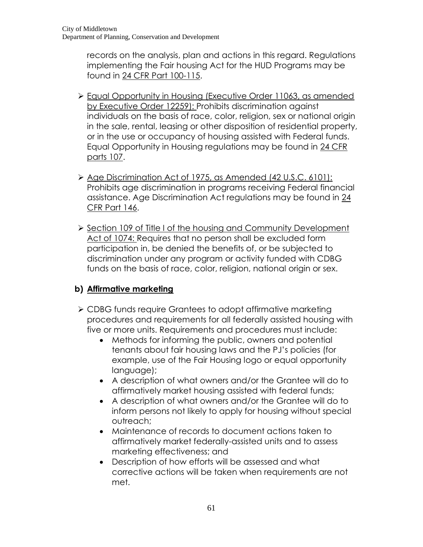records on the analysis, plan and actions in this regard. Regulations implementing the Fair housing Act for the HUD Programs may be found in [24 CFR Part 100-115.](http://www.ecfr.gov/cgi-bin/text-idx?tpl=/ecfrbrowse/Title24/24cfr100_main_02.tpl)

- Equal Opportunity in Housing (Executive Order 11063, as amended by Executive Order 12259): Prohibits discrimination against individuals on the basis of race, color, religion, sex or national origin in the sale, rental, leasing or other disposition of residential property, or in the use or occupancy of housing assisted with Federal funds. Equal Opportunity in Housing regulations may be found in [24 CFR](http://www.ecfr.gov/cgi-bin/text-idx?tpl=/ecfrbrowse/Title24/24cfr107_main_02.tpl)  [parts 107.](http://www.ecfr.gov/cgi-bin/text-idx?tpl=/ecfrbrowse/Title24/24cfr107_main_02.tpl)
- ▶ Age Discrimination Act of 1975, as Amended (42 U.S.C. 6101): Prohibits age discrimination in programs receiving Federal financial assistance. Age Discrimination Act regulations may be found in [24](http://www.ecfr.gov/cgi-bin/text-idx?rgn=div5&node=24:1.2.1.2.11)  [CFR Part 146.](http://www.ecfr.gov/cgi-bin/text-idx?rgn=div5&node=24:1.2.1.2.11)
- Section 109 of Title I of the housing and Community Development Act of 1074: Requires that no person shall be excluded form participation in, be denied the benefits of, or be subjected to discrimination under any program or activity funded with CDBG funds on the basis of race, color, religion, national origin or sex.

# **b) Affirmative marketing**

- CDBG funds require Grantees to adopt affirmative marketing procedures and requirements for all federally assisted housing with five or more units. Requirements and procedures must include:
	- Methods for informing the public, owners and potential tenants about fair housing laws and the PJ's policies (for example, use of the Fair Housing logo or equal opportunity language);
	- A description of what owners and/or the Grantee will do to affirmatively market housing assisted with federal funds;
	- A description of what owners and/or the Grantee will do to inform persons not likely to apply for housing without special outreach;
	- Maintenance of records to document actions taken to affirmatively market federally-assisted units and to assess marketing effectiveness; and
	- Description of how efforts will be assessed and what corrective actions will be taken when requirements are not met.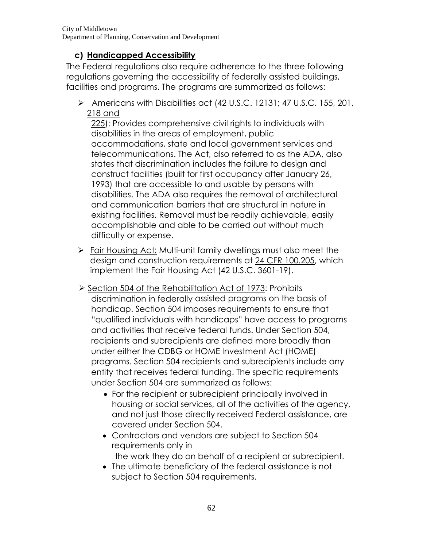# **c) Handicapped Accessibility**

The Federal regulations also require adherence to the three following regulations governing the accessibility of federally assisted buildings, facilities and programs. The programs are summarized as follows:

 Americans with Disabilities act (42 U.S.C. 12131; 47 U.S.C. 155, 201, 218 and

225): Provides comprehensive civil rights to individuals with disabilities in the areas of employment, public accommodations, state and local government services and telecommunications. The Act, also referred to as the ADA, also states that discrimination includes the failure to design and construct facilities (built for first occupancy after January 26, 1993) that are accessible to and usable by persons with disabilities. The ADA also requires the removal of architectural and communication barriers that are structural in nature in existing facilities. Removal must be readily achievable, easily accomplishable and able to be carried out without much difficulty or expense.

- Fair Housing Act: Multi-unit family dwellings must also meet the design and construction requirements at [24 CFR 100.205,](http://cfr.vlex.com/vid/100-205-design-construction-requirements-19925946) which implement the Fair Housing Act (42 U.S.C. 3601-19).
- ▶ Section 504 of the Rehabilitation Act of 1973: Prohibits discrimination in federally assisted programs on the basis of handicap. Section 504 imposes requirements to ensure that "qualified individuals with handicaps" have access to programs and activities that receive federal funds. Under Section 504, recipients and subrecipients are defined more broadly than under either the CDBG or HOME Investment Act (HOME) programs. Section 504 recipients and subrecipients include any entity that receives federal funding. The specific requirements under Section 504 are summarized as follows:
	- For the recipient or subrecipient principally involved in housing or social services, all of the activities of the agency, and not just those directly received Federal assistance, are covered under Section 504.
	- Contractors and vendors are subject to Section 504 requirements only in the work they do on behalf of a recipient or subrecipient.
	- The ultimate beneficiary of the federal assistance is not subject to Section 504 requirements.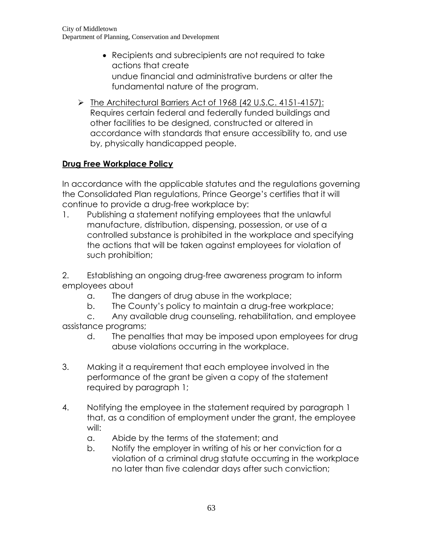- Recipients and subrecipients are not required to take actions that create undue financial and administrative burdens or alter the fundamental nature of the program.
- The Architectural Barriers Act of 1968 (42 U.S.C. 4151-4157): Requires certain federal and federally funded buildings and other facilities to be designed, constructed or altered in accordance with standards that ensure accessibility to, and use by, physically handicapped people.

# **Drug Free Workplace Policy**

In accordance with the applicable statutes and the regulations governing the Consolidated Plan regulations, Prince George's certifies that it will continue to provide a drug-free workplace by:

1. Publishing a statement notifying employees that the unlawful manufacture, distribution, dispensing, possession, or use of a controlled substance is prohibited in the workplace and specifying the actions that will be taken against employees for violation of such prohibition;

2. Establishing an ongoing drug-free awareness program to inform employees about

- a. The dangers of drug abuse in the workplace;
- b. The County's policy to maintain a drug-free workplace;
- c. Any available drug counseling, rehabilitation, and employee assistance programs;
	- d. The penalties that may be imposed upon employees for drug abuse violations occurring in the workplace.
- 3. Making it a requirement that each employee involved in the performance of the grant be given a copy of the statement required by paragraph 1;
- 4. Notifying the employee in the statement required by paragraph 1 that, as a condition of employment under the grant, the employee will:
	- a. Abide by the terms of the statement; and
	- b. Notify the employer in writing of his or her conviction for a violation of a criminal drug statute occurring in the workplace no later than five calendar days after such conviction;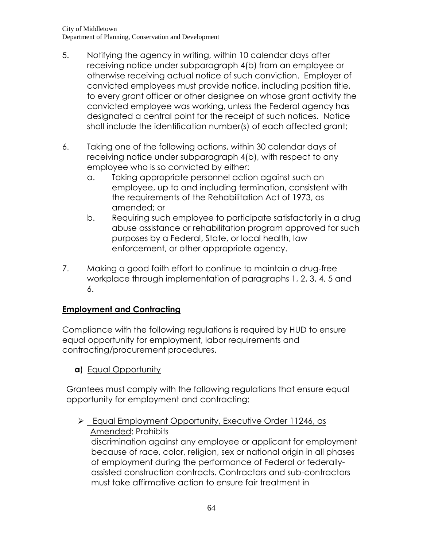- 5. Notifying the agency in writing, within 10 calendar days after receiving notice under subparagraph 4(b) from an employee or otherwise receiving actual notice of such conviction. Employer of convicted employees must provide notice, including position title, to every grant officer or other designee on whose grant activity the convicted employee was working, unless the Federal agency has designated a central point for the receipt of such notices. Notice shall include the identification number(s) of each affected grant;
- 6. Taking one of the following actions, within 30 calendar days of receiving notice under subparagraph 4(b), with respect to any employee who is so convicted by either:
	- a. Taking appropriate personnel action against such an employee, up to and including termination, consistent with the requirements of the Rehabilitation Act of 1973, as amended; or
	- b. Requiring such employee to participate satisfactorily in a drug abuse assistance or rehabilitation program approved for such purposes by a Federal, State, or local health, law enforcement, or other appropriate agency.
- 7. Making a good faith effort to continue to maintain a drug-free workplace through implementation of paragraphs 1, 2, 3, 4, 5 and 6.

# **Employment and Contracting**

Compliance with the following regulations is required by HUD to ensure equal opportunity for employment, labor requirements and contracting/procurement procedures.

**a**) Equal Opportunity

Grantees must comply with the following regulations that ensure equal opportunity for employment and contracting:

Equal Employment Opportunity, Executive Order 11246, as Amended: Prohibits discrimination against any employee or applicant for employment because of race, color, religion, sex or national origin in all phases of employment during the performance of Federal or federallyassisted construction contracts. Contractors and sub-contractors must take affirmative action to ensure fair treatment in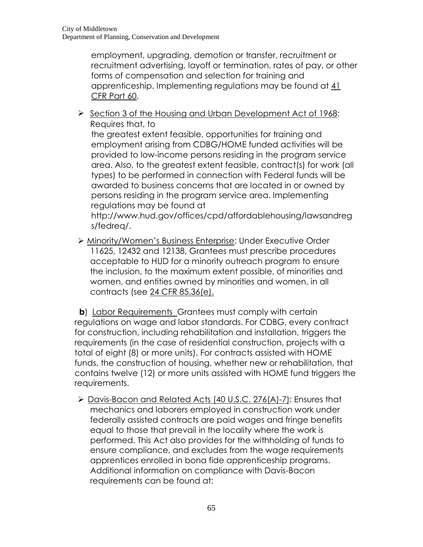employment, upgrading, demotion or transfer, recruitment or recruitment advertising, layoff or termination, rates of pay, or other forms of compensation and selection for training and apprenticeship. Implementing regulations may be found at  $41$ [CFR Part 60.](http://www.ecfr.gov/cgi-bin/text-idx?rgn=div5&node=41:1.2.3.1.1)

Section 3 of the Housing and Urban Development Act of 1968: Requires that, to

the greatest extent feasible, opportunities for training and employment arising from CDBG/HOME funded activities will be provided to low-income persons residing in the program service area. Also, to the greatest extent feasible, contract(s) for work (all types) to be performed in connection with Federal funds will be awarded to business concerns that are located in or owned by persons residing in the program service area. Implementing regulations may be found at

http://www.hud.gov/offices/cpd/affordablehousing/lawsandreg s/fedreq/.

 Minority/Women's Business Enterprise: Under Executive Order 11625, 12432 and 12138, Grantees must prescribe procedures acceptable to HUD for a minority outreach program to ensure the inclusion, to the maximum extent possible, of minorities and women, and entities owned by minorities and women, in all contracts (see [24 CFR 85.36\(e\).](../../../../../Owner/AppData/Local/Microsoft/Windows/Temporary%20Internet%20Files/Content.Outlook/JTYXDCUN/2011-2012%20Annual%20Action%20Plan.pdf)

**b**) Labor Requirements Grantees must comply with certain regulations on wage and labor standards. For CDBG, every contract for construction, including rehabilitation and installation, triggers the requirements (in the case of residential construction, projects with a total of eight (8) or more units). For contracts assisted with HOME funds, the construction of housing, whether new or rehabilitation, that contains twelve (12) or more units assisted with HOME fund triggers the requirements.

 Davis-Bacon and Related Acts (40 U.S.C. 276(A)-7): Ensures that mechanics and laborers employed in construction work under federally assisted contracts are paid wages and fringe benefits equal to those that prevail in the locality where the work is performed. This Act also provides for the withholding of funds to ensure compliance, and excludes from the wage requirements apprentices enrolled in bona fide apprenticeship programs. Additional information on compliance with Davis-Bacon requirements can be found at: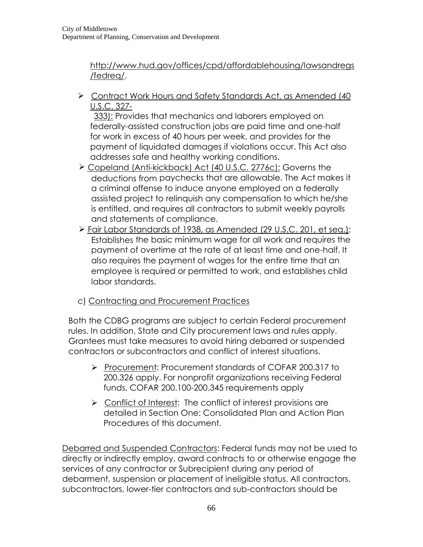[http://www.hud.gov/offices/cpd/affordablehousing/lawsandregs](http://www.hud.gov/offices/cpd/affordablehousing/lawsandregs/fedreq/) [/fedreq/.](http://www.hud.gov/offices/cpd/affordablehousing/lawsandregs/fedreq/)

 Contract Work Hours and Safety Standards Act, as Amended (40 U.S.C. 327-

 333): Provides that mechanics and laborers employed on federally-assisted construction jobs are paid time and one-half for work in excess of 40 hours per week, and provides for the payment of liquidated damages if violations occur. This Act also addresses safe and healthy working conditions.

- Copeland (Anti-kickback) Act (40 U.S.C. 2776c): Governs the deductions from paychecks that are allowable. The Act makes it a criminal offense to induce anyone employed on a federally assisted project to relinquish any compensation to which he/she is entitled, and requires all contractors to submit weekly payrolls and statements of compliance.
- Fair Labor Standards of 1938, as Amended (29 U.S.C. 201, et seq.): Establishes the basic minimum wage for all work and requires the payment of overtime at the rate of at least time and one-half. It also requires the payment of wages for the entire time that an employee is required or permitted to work, and establishes child labor standards.
- c) Contracting and Procurement Practices

Both the CDBG programs are subject to certain Federal procurement rules. In addition, State and City procurement laws and rules apply. Grantees must take measures to avoid hiring debarred or suspended contractors or subcontractors and conflict of interest situations.

- Procurement: Procurement standards of COFAR 200.317 to 200.326 apply. For nonprofit organizations receiving Federal funds, COFAR 200.100-200.345 requirements apply
- $\triangleright$  Conflict of Interest: The conflict of interest provisions are detailed in Section One: Consolidated Plan and Action Plan Procedures of this document.

Debarred and Suspended Contractors: Federal funds may not be used to directly or indirectly employ, award contracts to or otherwise engage the services of any contractor or Subrecipient during any period of debarment, suspension or placement of ineligible status. All contractors, subcontractors, lower-tier contractors and sub-contractors should be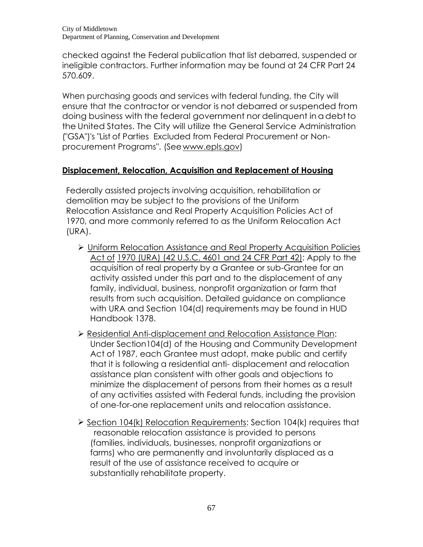checked against the Federal publication that list debarred, suspended or ineligible contractors. Further information may be found at 24 CFR Part 24 570.609.

When purchasing goods and services with federal funding, the City will ensure that the contractor or vendor is not debarred or suspended from doing business with the federal government nor delinquent in adebt to the United States. The City will utilize the General Service Administration ("GSA")'s "List of Parties Excluded from Federal Procurement or Nonprocurement Programs". (See [www.epls.gov\)](http://www.epls.gov/)

# **Displacement, Relocation, Acquisition and Replacement of Housing**

Federally assisted projects involving acquisition, rehabilitation or demolition may be subject to the provisions of the Uniform Relocation Assistance and Real Property Acquisition Policies Act of 1970, and more commonly referred to as the Uniform Relocation Act (URA).

- Uniform Relocation Assistance and Real Property Acquisition Policies Act of 1970 (URA) (42 U.S.C. 4601 and 24 CFR Part 42): Apply to the acquisition of real property by a Grantee or sub-Grantee for an activity assisted under this part and to the displacement of any family, individual, business, nonprofit organization or farm that results from such acquisition. Detailed guidance on compliance with URA and Section 104(d) requirements may be found in HUD Handbook 1378.
- Residential Anti-displacement and Relocation Assistance Plan: Under Section104(d) of the Housing and Community Development Act of 1987, each Grantee must adopt, make public and certify that it is following a residential anti- displacement and relocation assistance plan consistent with other goals and objections to minimize the displacement of persons from their homes as a result of any activities assisted with Federal funds, including the provision of one-for-one replacement units and relocation assistance.
- $\triangleright$  Section 104(k) Relocation Requirements: Section 104(k) requires that reasonable relocation assistance is provided to persons (families, individuals, businesses, nonprofit organizations or farms) who are permanently and involuntarily displaced as a result of the use of assistance received to acquire or substantially rehabilitate property.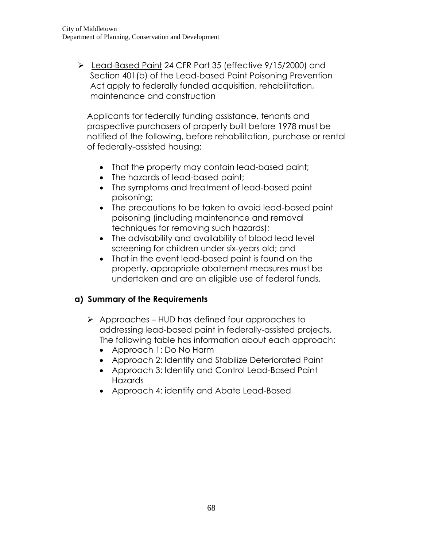Lead-Based Paint [24 CFR Part 35](http://www.ecfr.gov/cgi-bin/text-idx?SID=2b62c8f4aa0cb84701ed294d0287c4a2&node=24:1.1.1.1.24&rgn=div5) (effective 9/15/2000) and Section 401(b) of the Lead-based Paint Poisoning Prevention Act apply to federally funded acquisition, rehabilitation, maintenance and construction

Applicants for federally funding assistance, tenants and prospective purchasers of property built before 1978 must be notified of the following, before rehabilitation, purchase or rental of federally-assisted housing:

- That the property may contain lead-based paint;
- The hazards of lead-based paint;
- The symptoms and treatment of lead-based paint poisoning;
- The precautions to be taken to avoid lead-based paint poisoning (including maintenance and removal techniques for removing such hazards);
- The advisability and availability of blood lead level screening for children under six-years old; and
- That in the event lead-based paint is found on the property, appropriate abatement measures must be undertaken and are an eligible use of federal funds.

# **a) Summary of the Requirements**

- $\triangleright$  Approaches HUD has defined four approaches to addressing lead-based paint in federally-assisted projects. The following table has information about each approach:
	- Approach 1: Do No Harm
	- Approach 2: Identify and Stabilize Deteriorated Paint
	- Approach 3: Identify and Control Lead-Based Paint **Hazards**
	- Approach 4: identify and Abate Lead-Based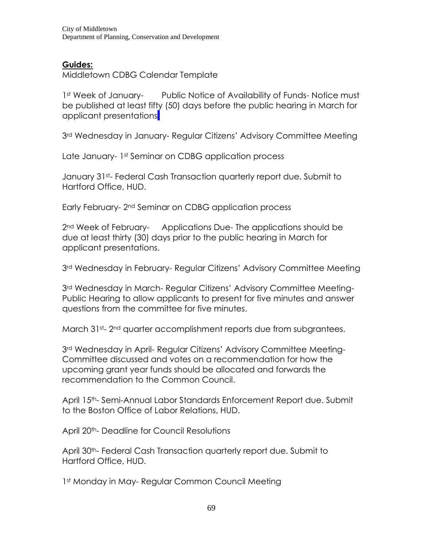# **Guides:**

Middletown CDBG Calendar Template

1st Week of January- Public Notice of Availability of Funds- Notice must be published at least fifty (50) days before the public hearing in March for applicant presentations.

3<sup>rd</sup> Wednesday in January- Regular Citizens' Advisory Committee Meeting

Late January- 1st Seminar on CDBG application process

January 31st- Federal Cash Transaction quarterly report due. Submit to Hartford Office, HUD.

Early February- 2nd Seminar on CDBG application process

2<sup>nd</sup> Week of February- Applications Due- The applications should be due at least thirty (30) days prior to the public hearing in March for applicant presentations.

3rd Wednesday in February- Regular Citizens' Advisory Committee Meeting

3<sup>rd</sup> Wednesday in March- Regular Citizens' Advisory Committee Meeting-Public Hearing to allow applicants to present for five minutes and answer questions from the committee for five minutes.

March 31st- 2nd quarter accomplishment reports due from subgrantees.

3<sup>rd</sup> Wednesday in April- Regular Citizens' Advisory Committee Meeting-Committee discussed and votes on a recommendation for how the upcoming grant year funds should be allocated and forwards the recommendation to the Common Council.

April 15th- Semi-Annual Labor Standards Enforcement Report due. Submit to the Boston Office of Labor Relations, HUD.

April 20<sup>th</sup>- Deadline for Council Resolutions

April 30<sup>th</sup>- Federal Cash Transaction quarterly report due. Submit to Hartford Office, HUD.

1st Monday in May-Regular Common Council Meeting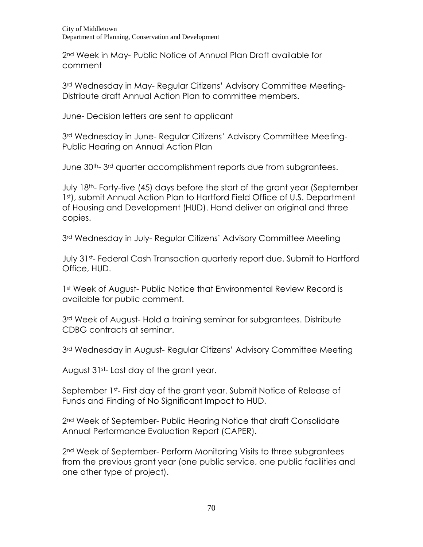2nd Week in May- Public Notice of Annual Plan Draft available for comment

3rd Wednesday in May- Regular Citizens' Advisory Committee Meeting-Distribute draft Annual Action Plan to committee members.

June- Decision letters are sent to applicant

3<sup>rd</sup> Wednesday in June- Regular Citizens' Advisory Committee Meeting-Public Hearing on Annual Action Plan

June 30<sup>th</sup>-3<sup>rd</sup> quarter accomplishment reports due from subgrantees.

July 18th- Forty-five (45) days before the start of the grant year (September 1st), submit Annual Action Plan to Hartford Field Office of U.S. Department of Housing and Development (HUD). Hand deliver an original and three copies.

3<sup>rd</sup> Wednesday in July- Regular Citizens' Advisory Committee Meeting

July 31st- Federal Cash Transaction quarterly report due. Submit to Hartford Office, HUD.

1st Week of August- Public Notice that Environmental Review Record is available for public comment.

3<sup>rd</sup> Week of August- Hold a training seminar for subgrantees. Distribute CDBG contracts at seminar.

3<sup>rd</sup> Wednesday in August- Regular Citizens' Advisory Committee Meeting

August 31st- Last day of the grant year.

September 1st- First day of the grant year. Submit Notice of Release of Funds and Finding of No Significant Impact to HUD.

2<sup>nd</sup> Week of September- Public Hearing Notice that draft Consolidate Annual Performance Evaluation Report (CAPER).

2<sup>nd</sup> Week of September- Perform Monitoring Visits to three subgrantees from the previous grant year (one public service, one public facilities and one other type of project).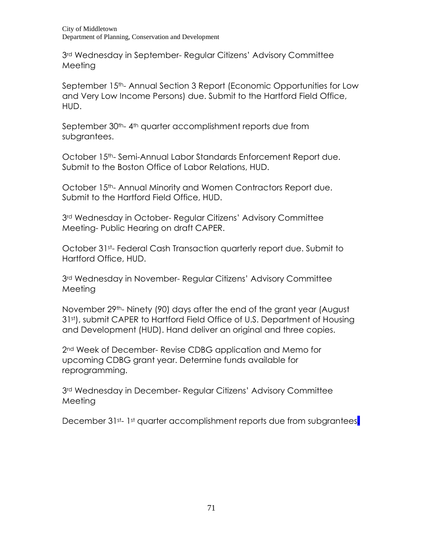City of Middletown Department of Planning, Conservation and Development

3rd Wednesday in September- Regular Citizens' Advisory Committee Meeting

September 15th- Annual Section 3 Report (Economic Opportunities for Low and Very Low Income Persons) due. Submit to the Hartford Field Office, HUD.

September 30<sup>th</sup>-4<sup>th</sup> quarter accomplishment reports due from subgrantees.

October 15<sup>th</sup>-Semi-Annual Labor Standards Enforcement Report due. Submit to the Boston Office of Labor Relations, HUD.

October 15<sup>th</sup>- Annual Minority and Women Contractors Report due. Submit to the Hartford Field Office, HUD.

3<sup>rd</sup> Wednesday in October- Regular Citizens' Advisory Committee Meeting- Public Hearing on draft CAPER.

October 31st- Federal Cash Transaction quarterly report due. Submit to Hartford Office, HUD.

3rd Wednesday in November- Regular Citizens' Advisory Committee Meeting

November 29th- Ninety (90) days after the end of the grant year (August 31st), submit CAPER to Hartford Field Office of U.S. Department of Housing and Development (HUD). Hand deliver an original and three copies.

2<sup>nd</sup> Week of December- Revise CDBG application and Memo for upcoming CDBG grant year. Determine funds available for reprogramming.

3rd Wednesday in December- Regular Citizens' Advisory Committee Meeting

December 31st-1st quarter accomplishment reports due from subgrantees.